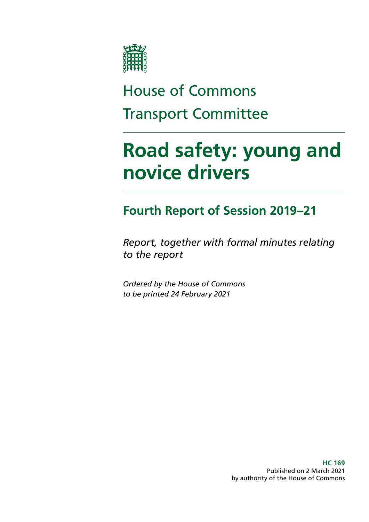

# House of Commons Transport Committee

# **Road safety: young and novice drivers**

## **Fourth Report of Session 2019–21**

*Report, together with formal minutes relating to the report*

*Ordered by the House of Commons to be printed 24 February 2021*

> **HC 169** Published on 2 March 2021 by authority of the House of Commons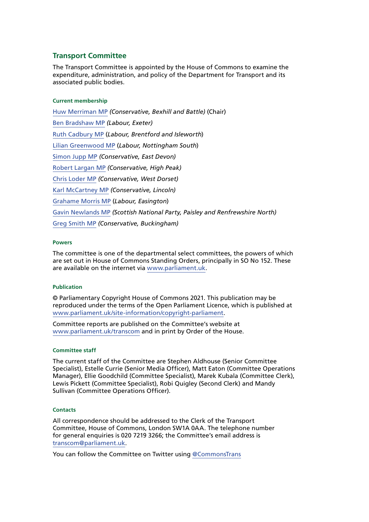#### **Transport Committee**

The Transport Committee is appointed by the House of Commons to examine the expenditure, administration, and policy of the Department for Transport and its associated public bodies.

#### **Current membership**

[Huw Merriman MP](https://members.parliament.uk/member/4442/contact) *(Conservative, Bexhill and Battle)* (Chair) [Ben Bradshaw MP](https://members.parliament.uk/member/230/contact) *(Labour, Exeter)* [Ruth Cadbury MP](https://members.parliament.uk/member/4389/contact) (*Labour, Brentford and Isleworth*) [Lilian Greenwood MP](http://www.parliament.uk/biographies/commons/lilian-greenwood/4029) (*Labour, Nottingham South*) [Simon Jupp MP](https://members.parliament.uk/member/4862/contact) *(Conservative, East Devon)* [Robert Largan MP](http://https://members.parliament.uk/member/4852/contact) *(Conservative, High Peak)* [Chris Loder MP](https://members.parliament.uk/member/4751/contact) *(Conservative, West Dorset)* [Karl McCartney MP](https://members.parliament.uk/member/4028/contact) *(Conservative, Lincoln)* [Grahame Morris MP](https://www.parliament.uk/biographies/commons/grahame-morris/3973) (*Labour, Easington*) [Gavin Newlands MP](https://members.parliament.uk/member/4420/contact) *(Scottish National Party, Paisley and Renfrewshire North)* [Greg Smith MP](http://https://members.parliament.uk/member/4778/contact) *(Conservative, Buckingham)*

#### **Powers**

The committee is one of the departmental select committees, the powers of which are set out in House of Commons Standing Orders, principally in SO No 152. These are available on the internet via [www.parliament.uk.](http://www.parliament.uk/)

#### **Publication**

© Parliamentary Copyright House of Commons 2021. This publication may be reproduced under the terms of the Open Parliament Licence, which is published at [www.parliament.uk/site-information/copyright-parliament.](http://www.parliament.uk/site-information/copyright-parliament/)

Committee reports are published on the Committee's website at [www.parliament.uk/transcom](http://www.parliament.uk/transcom) and in print by Order of the House.

#### **Committee staff**

The current staff of the Committee are Stephen Aldhouse (Senior Committee Specialist), Estelle Currie (Senior Media Officer), Matt Eaton (Committee Operations Manager), Ellie Goodchild (Committee Specialist), Marek Kubala (Committee Clerk), Lewis Pickett (Committee Specialist), Robi Quigley (Second Clerk) and Mandy Sullivan (Committee Operations Officer).

#### **Contacts**

All correspondence should be addressed to the Clerk of the Transport Committee, House of Commons, London SW1A 0AA. The telephone number for general enquiries is 020 7219 3266; the Committee's email address is [transcom@parliament.uk.](mailto:transcom%40parliament.uk?subject=)

You can follow the Committee on Twitter using [@CommonsTrans](https://twitter.com/CommonsTrans)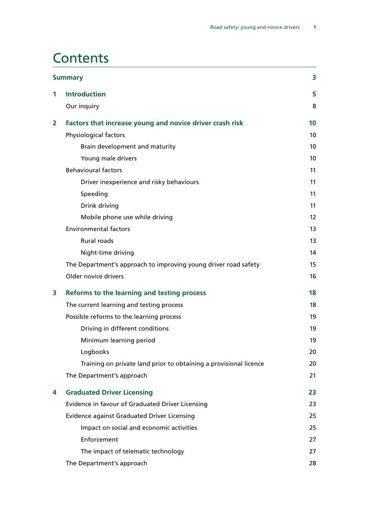## **Contents**

| <b>Summary</b> |                                                                   |                   |
|----------------|-------------------------------------------------------------------|-------------------|
| 1              | <b>Introduction</b>                                               | 5                 |
|                | Our inquiry                                                       | 8                 |
| 2              | Factors that increase young and novice driver crash risk          | 10                |
|                | Physiological factors                                             | 10                |
|                | Brain development and maturity                                    | 10                |
|                | Young male drivers                                                | 10                |
|                | <b>Behavioural factors</b>                                        | 11                |
|                | Driver inexperience and risky behaviours                          | 11                |
|                | Speeding                                                          | 11                |
|                | Drink driving                                                     | 11                |
|                | Mobile phone use while driving                                    | $12 \overline{ }$ |
|                | <b>Environmental factors</b>                                      | 13                |
|                | <b>Rural roads</b>                                                | 13                |
|                | Night-time driving                                                | 14                |
|                | The Department's approach to improving young driver road safety   | 15                |
|                | Older novice drivers                                              | 16                |
| 3              | Reforms to the learning and testing process                       | 18                |
|                | The current learning and testing process                          | 18                |
|                | Possible reforms to the learning process                          | 19                |
|                | Driving in different conditions                                   | 19                |
|                | Minimum learning period                                           | 19                |
|                | Logbooks                                                          | 20                |
|                | Training on private land prior to obtaining a provisional licence | 20                |
|                | The Department's approach                                         | 21                |
| 4              | <b>Graduated Driver Licensing</b>                                 | 23                |
|                | Evidence in favour of Graduated Driver Licensing                  | 23                |
|                | <b>Evidence against Graduated Driver Licensing</b>                | 25                |
|                | Impact on social and economic activities                          | 25                |
|                | Enforcement                                                       | 27                |
|                | The impact of telematic technology                                | 27                |
|                | The Department's approach                                         | 28                |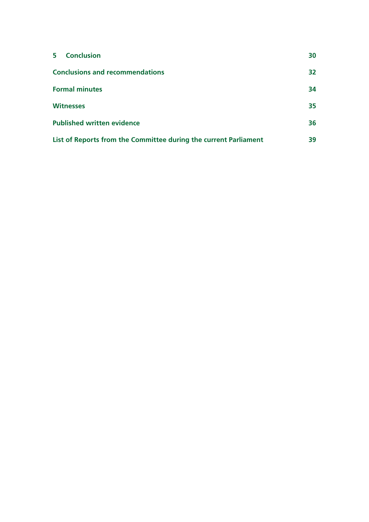| <b>Conclusion</b><br>$5 -$                                       | 30 |
|------------------------------------------------------------------|----|
| <b>Conclusions and recommendations</b>                           | 32 |
| <b>Formal minutes</b>                                            | 34 |
| <b>Witnesses</b>                                                 | 35 |
| <b>Published written evidence</b>                                | 36 |
| List of Reports from the Committee during the current Parliament | 39 |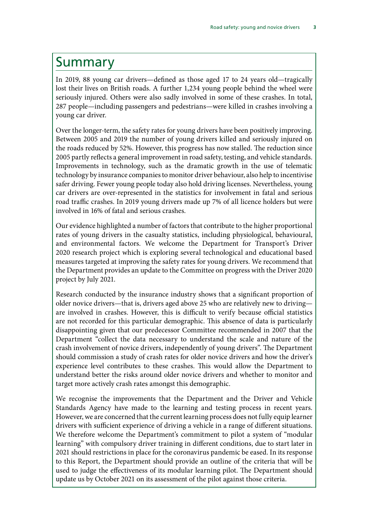## <span id="page-4-0"></span>Summary

In 2019, 88 young car drivers—defined as those aged 17 to 24 years old—tragically lost their lives on British roads. A further 1,234 young people behind the wheel were seriously injured. Others were also sadly involved in some of these crashes. In total, 287 people—including passengers and pedestrians—were killed in crashes involving a young car driver.

Over the longer-term, the safety rates for young drivers have been positively improving. Between 2005 and 2019 the number of young drivers killed and seriously injured on the roads reduced by 52%. However, this progress has now stalled. The reduction since 2005 partly reflects a general improvement in road safety, testing, and vehicle standards. Improvements in technology, such as the dramatic growth in the use of telematic technology by insurance companies to monitor driver behaviour, also help to incentivise safer driving. Fewer young people today also hold driving licenses. Nevertheless, young car drivers are over-represented in the statistics for involvement in fatal and serious road traffic crashes. In 2019 young drivers made up 7% of all licence holders but were involved in 16% of fatal and serious crashes.

Our evidence highlighted a number of factors that contribute to the higher proportional rates of young drivers in the casualty statistics, including physiological, behavioural, and environmental factors. We welcome the Department for Transport's Driver 2020 research project which is exploring several technological and educational based measures targeted at improving the safety rates for young drivers. We recommend that the Department provides an update to the Committee on progress with the Driver 2020 project by July 2021.

Research conducted by the insurance industry shows that a significant proportion of older novice drivers—that is, drivers aged above 25 who are relatively new to driving are involved in crashes. However, this is difficult to verify because official statistics are not recorded for this particular demographic. This absence of data is particularly disappointing given that our predecessor Committee recommended in 2007 that the Department "collect the data necessary to understand the scale and nature of the crash involvement of novice drivers, independently of young drivers". The Department should commission a study of crash rates for older novice drivers and how the driver's experience level contributes to these crashes. This would allow the Department to understand better the risks around older novice drivers and whether to monitor and target more actively crash rates amongst this demographic.

We recognise the improvements that the Department and the Driver and Vehicle Standards Agency have made to the learning and testing process in recent years. However, we are concerned that the current learning process does not fully equip learner drivers with sufficient experience of driving a vehicle in a range of different situations. We therefore welcome the Department's commitment to pilot a system of "modular learning" with compulsory driver training in different conditions, due to start later in 2021 should restrictions in place for the coronavirus pandemic be eased. In its response to this Report, the Department should provide an outline of the criteria that will be used to judge the effectiveness of its modular learning pilot. The Department should update us by October 2021 on its assessment of the pilot against those criteria.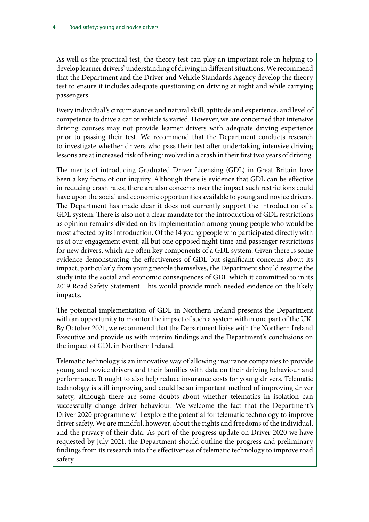As well as the practical test, the theory test can play an important role in helping to develop learner drivers' understanding of driving in different situations. We recommend that the Department and the Driver and Vehicle Standards Agency develop the theory test to ensure it includes adequate questioning on driving at night and while carrying passengers.

Every individual's circumstances and natural skill, aptitude and experience, and level of competence to drive a car or vehicle is varied. However, we are concerned that intensive driving courses may not provide learner drivers with adequate driving experience prior to passing their test. We recommend that the Department conducts research to investigate whether drivers who pass their test after undertaking intensive driving lessons are at increased risk of being involved in a crash in their first two years of driving.

The merits of introducing Graduated Driver Licensing (GDL) in Great Britain have been a key focus of our inquiry. Although there is evidence that GDL can be effective in reducing crash rates, there are also concerns over the impact such restrictions could have upon the social and economic opportunities available to young and novice drivers. The Department has made clear it does not currently support the introduction of a GDL system. There is also not a clear mandate for the introduction of GDL restrictions as opinion remains divided on its implementation among young people who would be most affected by its introduction. Of the 14 young people who participated directly with us at our engagement event, all but one opposed night-time and passenger restrictions for new drivers, which are often key components of a GDL system. Given there is some evidence demonstrating the effectiveness of GDL but significant concerns about its impact, particularly from young people themselves, the Department should resume the study into the social and economic consequences of GDL which it committed to in its 2019 Road Safety Statement. This would provide much needed evidence on the likely impacts.

The potential implementation of GDL in Northern Ireland presents the Department with an opportunity to monitor the impact of such a system within one part of the UK. By October 2021, we recommend that the Department liaise with the Northern Ireland Executive and provide us with interim findings and the Department's conclusions on the impact of GDL in Northern Ireland.

Telematic technology is an innovative way of allowing insurance companies to provide young and novice drivers and their families with data on their driving behaviour and performance. It ought to also help reduce insurance costs for young drivers. Telematic technology is still improving and could be an important method of improving driver safety, although there are some doubts about whether telematics in isolation can successfully change driver behaviour. We welcome the fact that the Department's Driver 2020 programme will explore the potential for telematic technology to improve driver safety. We are mindful, however, about the rights and freedoms of the individual, and the privacy of their data. As part of the progress update on Driver 2020 we have requested by July 2021, the Department should outline the progress and preliminary findings from its research into the effectiveness of telematic technology to improve road safety.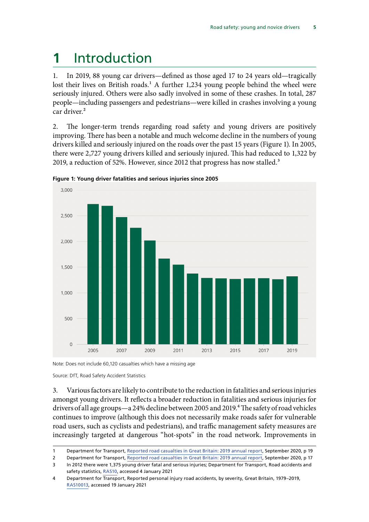## <span id="page-6-0"></span>**1** Introduction

1. In 2019, 88 young car drivers—defined as those aged 17 to 24 years old—tragically lost their lives on British roads.<sup>1</sup> A further 1,234 young people behind the wheel were seriously injured. Others were also sadly involved in some of these crashes. In total, 287 people—including passengers and pedestrians—were killed in crashes involving a young car driver.<sup>2</sup>

2. The longer-term trends regarding road safety and young drivers are positively improving. There has been a notable and much welcome decline in the numbers of young drivers killed and seriously injured on the roads over the past 15 years (Figure 1). In 2005, there were 2,727 young drivers killed and seriously injured. This had reduced to 1,322 by 2019, a reduction of 52%. However, since 2012 that progress has now stalled.<sup>3</sup>



**Figure 1: Young driver fatalities and serious injuries since 2005**

Note: Does not include 60,120 casualties which have a missing age

Source: DfT, Road Safety Accident Statistics

3. Various factors are likely to contribute to the reduction in fatalities and serious injuries amongst young drivers. It reflects a broader reduction in fatalities and serious injuries for drivers of all age groups—a 24% decline between 2005 and 2019.<sup>4</sup> The safety of road vehicles continues to improve (although this does not necessarily make roads safer for vulnerable road users, such as cyclists and pedestrians), and traffic management safety measures are increasingly targeted at dangerous "hot-spots" in the road network. Improvements in

<sup>1</sup> Department for Transport, [Reported road casualties in Great Britain: 2019 annual report](https://assets.publishing.service.gov.uk/government/uploads/system/uploads/attachment_data/file/922717/reported-road-casualties-annual-report-2019.pdf), September 2020, p 19

<sup>2</sup> Department for Transport, [Reported road casualties in Great Britain: 2019 annual report](https://assets.publishing.service.gov.uk/government/uploads/system/uploads/attachment_data/file/922717/reported-road-casualties-annual-report-2019.pdf), September 2020, p 17

<sup>3</sup> In 2012 there were 1,375 young driver fatal and serious injuries; Department for Transport, Road accidents and safety statistics, [RAS10,](https://www.gov.uk/government/statistical-data-sets/ras10-reported-road-accidents) accessed 4 January 2021

<sup>4</sup> Department for Transport, Reported personal injury road accidents, by severity, Great Britain, 1979–2019, [RAS10013,](https://assets.publishing.service.gov.uk/government/uploads/system/uploads/attachment_data/file/922505/ras10013.ods) accessed 19 January 2021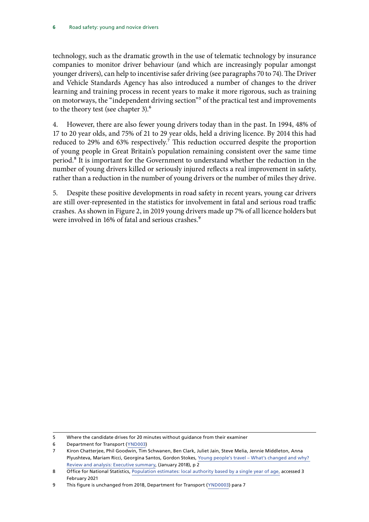technology, such as the dramatic growth in the use of telematic technology by insurance companies to monitor driver behaviour (and which are increasingly popular amongst younger drivers), can help to incentivise safer driving (see paragraphs 70 to 74). The Driver and Vehicle Standards Agency has also introduced a number of changes to the driver learning and training process in recent years to make it more rigorous, such as training on motorways, the "independent driving section"<sup>5</sup> of the practical test and improvements to the theory test (see chapter 3).<sup>6</sup>

4. However, there are also fewer young drivers today than in the past. In 1994, 48% of 17 to 20 year olds, and 75% of 21 to 29 year olds, held a driving licence. By 2014 this had reduced to 29% and 63% respectively.<sup>7</sup> This reduction occurred despite the proportion of young people in Great Britain's population remaining consistent over the same time period.8 It is important for the Government to understand whether the reduction in the number of young drivers killed or seriously injured reflects a real improvement in safety, rather than a reduction in the number of young drivers or the number of miles they drive.

5. Despite these positive developments in road safety in recent years, young car drivers are still over-represented in the statistics for involvement in fatal and serious road traffic crashes. As shown in Figure 2, in 2019 young drivers made up 7% of all licence holders but were involved in 16% of fatal and serious crashes.<sup>9</sup>

<sup>5</sup> Where the candidate drives for 20 minutes without guidance from their examiner

<sup>6</sup> Department for Transport ([YND003\)](https://committees.parliament.uk/writtenevidence/1327/pdf/)

<sup>7</sup> Kiron Chatterjee, Phil Goodwin, Tim Schwanen, Ben Clark, Juliet Jain, Steve Melia, Jennie Middleton, Anna Plyushteva, Mariam Ricci, Georgina Santos, Gordon Stokes, [Young people's travel – What's changed and why?](https://assets.publishing.service.gov.uk/government/uploads/system/uploads/attachment_data/file/673176/young-peoples-travel-whats-changed.pdf)  [Review and analysis: Executive summary,](https://assets.publishing.service.gov.uk/government/uploads/system/uploads/attachment_data/file/673176/young-peoples-travel-whats-changed.pdf) (January 2018), p 2

<sup>8</sup> Office for National Statistics, [Population estimates: local authority based by a single year of age,](https://www.nomisweb.co.uk/customerrors/nodataset.asp) accessed 3 February 2021

<sup>9</sup> This figure is unchanged from 2018, Department for Transport ([YND0003](https://committees.parliament.uk/writtenevidence/1327/pdf/)) para 7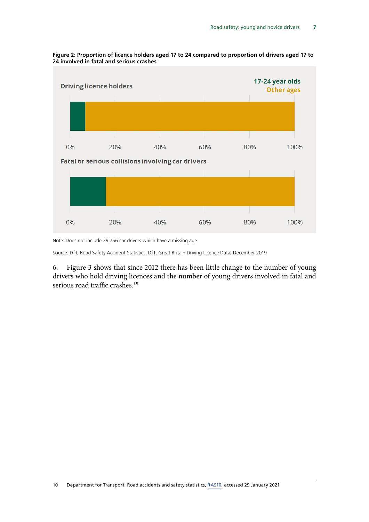

#### **Figure 2: Proportion of licence holders aged 17 to 24 compared to proportion of drivers aged 17 to 24 involved in fatal and serious crashes**

Note: Does not include 29,756 car drivers which have a missing age

Source: DfT, Road Safety Accident Statistics; DfT, Great Britain Driving Licence Data, December 2019

6. Figure 3 shows that since 2012 there has been little change to the number of young drivers who hold driving licences and the number of young drivers involved in fatal and serious road traffic crashes.<sup>10</sup>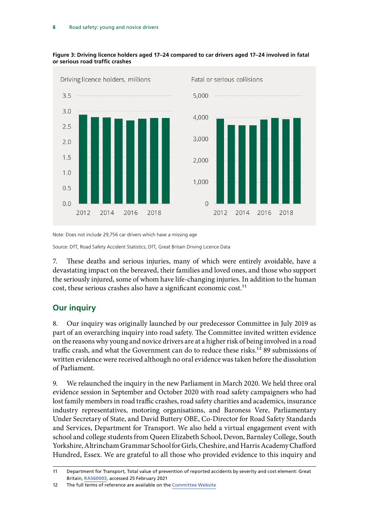

<span id="page-9-0"></span>

Note: Does not include 29,756 car drivers which have a missing age

Source: DfT, Road Safety Accident Statistics; DfT, Great Britain Driving Licence Data

7. These deaths and serious injuries, many of which were entirely avoidable, have a devastating impact on the bereaved, their families and loved ones, and those who support the seriously injured, some of whom have life-changing injuries. In addition to the human cost, these serious crashes also have a significant economic cost.<sup>11</sup>

### **Our inquiry**

8. Our inquiry was originally launched by our predecessor Committee in July 2019 as part of an overarching inquiry into road safety. The Committee invited written evidence on the reasons why young and novice drivers are at a higher risk of being involved in a road traffic crash, and what the Government can do to reduce these risks.<sup>12</sup> 89 submissions of written evidence were received although no oral evidence was taken before the dissolution of Parliament.

9. We relaunched the inquiry in the new Parliament in March 2020. We held three oral evidence session in September and October 2020 with road safety campaigners who had lost family members in road traffic crashes, road safety charities and academics, insurance industry representatives, motoring organisations, and Baroness Vere, Parliamentary Under Secretary of State, and David Buttery OBE, Co-Director for Road Safety Standards and Services, Department for Transport. We also held a virtual engagement event with school and college students from Queen Elizabeth School, Devon, Barnsley College, South Yorkshire, Altrincham Grammar School for Girls, Cheshire, and Harris Academy Chafford Hundred, Essex. We are grateful to all those who provided evidence to this inquiry and

<sup>11</sup> Department for Transport, Total value of prevention of reported accidents by severity and cost element: Great Britain, [RAS60003](https://assets.publishing.service.gov.uk/government/uploads/system/uploads/attachment_data/file/922016/ras60003.ods), accessed 25 February 2021

<sup>12</sup> The full terms of reference are available on the [Committee Website](https://committees.parliament.uk/committee/153/transport-committee/news/110743/committee-to-relaunch-work-on-young-and-novice-drivers/)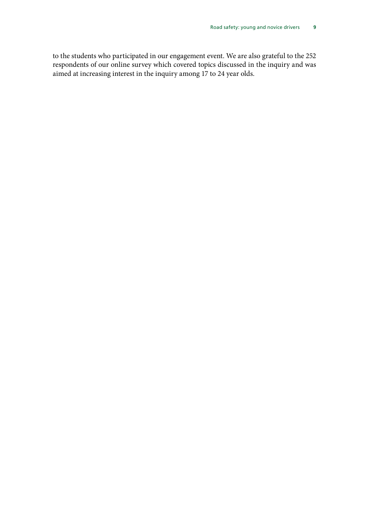to the students who participated in our engagement event. We are also grateful to the 252 respondents of our online survey which covered topics discussed in the inquiry and was aimed at increasing interest in the inquiry among 17 to 24 year olds.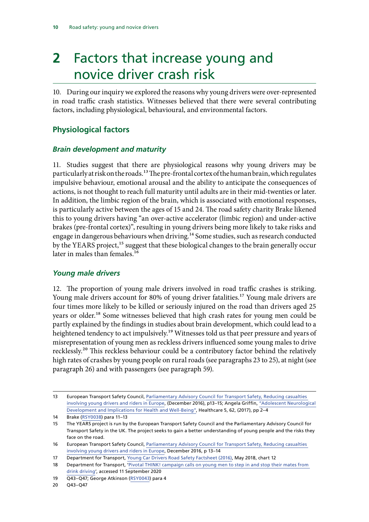## <span id="page-11-0"></span>**2** Factors that increase young and novice driver crash risk

10. During our inquiry we explored the reasons why young drivers were over-represented in road traffic crash statistics. Witnesses believed that there were several contributing factors, including physiological, behavioural, and environmental factors.

## **Physiological factors**

### *Brain development and maturity*

11. Studies suggest that there are physiological reasons why young drivers may be particularly at risk on the roads.<sup>13</sup> The pre-frontal cortex of the human brain, which regulates impulsive behaviour, emotional arousal and the ability to anticipate the consequences of actions, is not thought to reach full maturity until adults are in their mid-twenties or later. In addition, the limbic region of the brain, which is associated with emotional responses, is particularly active between the ages of 15 and 24. The road safety charity Brake likened this to young drivers having "an over-active accelerator (limbic region) and under-active brakes (pre-frontal cortex)", resulting in young drivers being more likely to take risks and engage in dangerous behaviours when driving.<sup>14</sup> Some studies, such as research conducted by the YEARS project,<sup>15</sup> suggest that these biological changes to the brain generally occur later in males than females.<sup>16</sup>

#### *Young male drivers*

12. The proportion of young male drivers involved in road traffic crashes is striking. Young male drivers account for 80% of young driver fatalities.<sup>17</sup> Young male drivers are four times more likely to be killed or seriously injured on the road than drivers aged 25 years or older.18 Some witnesses believed that high crash rates for young men could be partly explained by the findings in studies about brain development, which could lead to a heightened tendency to act impulsively.<sup>19</sup> Witnesses told us that peer pressure and years of misrepresentation of young men as reckless drivers influenced some young males to drive recklessly.20 This reckless behaviour could be a contributory factor behind the relatively high rates of crashes by young people on rural roads (see paragraphs 23 to 25), at night (see paragraph 26) and with passengers (see paragraph 59).

<sup>13</sup> European Transport Safety Council, [Parliamentary Advisory Council for Transport Safety, Reducing casualties](https://etsc.eu/wp-content/uploads/2017_01_26_young_drivers_report.pdf) [involving young drivers and riders in Europe,](https://etsc.eu/wp-content/uploads/2017_01_26_young_drivers_report.pdf) (December 2016), p13–15; Angela Griffin, ["Adolescent Neurological](https://www.mdpi.com/2227-9032/5/4/62/htm)  [Development and Implications for Health and Well-Being"](https://www.mdpi.com/2227-9032/5/4/62/htm), Healthcare 5, 62, (2017), pp 2–4

<sup>14</sup> Brake [\(RSY0038\)](http://data.parliament.uk/writtenevidence/committeeevidence.svc/evidencedocument/transport-committee/road-safety-young-and-novice-drivers/written/104805.html) para 11–13

<sup>15</sup> The YEARS project is run by the European Transport Safety Council and the Parliamentary Advisory Council for Transport Safety in the UK. The project seeks to gain a better understanding of young people and the risks they face on the road.

<sup>16</sup> European Transport Safety Council, [Parliamentary Advisory Council for Transport Safety, Reducing casualties](https://etsc.eu/wp-content/uploads/2017_01_26_young_drivers_report.pdf)  [involving young drivers and riders in Europe,](https://etsc.eu/wp-content/uploads/2017_01_26_young_drivers_report.pdf) December 2016, p 13–14

<sup>17</sup> Department for Transport, [Young Car Drivers Road Safety Factsheet \(2016\)](https://assets.publishing.service.gov.uk/government/uploads/system/uploads/attachment_data/file/706516/young-car-drivers-factsheet.pdf), May 2018, chart 12

<sup>18</sup> Department for Transport, 'Pivotal THINK! campaign calls on young men to step in and stop their mates from [drink driving'](https://www.gov.uk/government/news/pivotal-think-campaign-calls-on-young-men-to-step-in-and-stop-their-mates-from-drink-driving), accessed 11 September 2020

<sup>19</sup> Q43–Q47; George Atkinson [\(RSY0043](http://data.parliament.uk/writtenevidence/committeeevidence.svc/evidencedocument/transport-committee/road-safety-young-and-novice-drivers/written/104850.html)) para 4

<sup>20</sup> Q43–Q47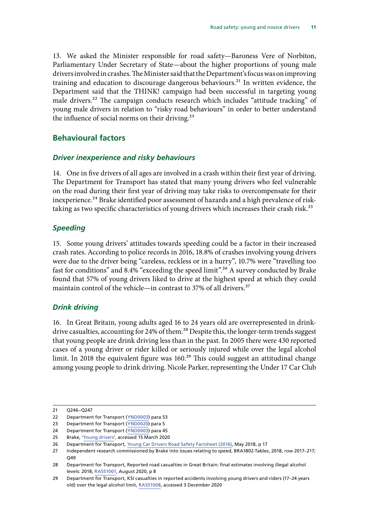<span id="page-12-0"></span>13. We asked the Minister responsible for road safety—Baroness Vere of Norbiton, Parliamentary Under Secretary of State—about the higher proportions of young male drivers involved in crashes. The Minister said that the Department's focus was on improving training and education to discourage dangerous behaviours.<sup>21</sup> In written evidence, the Department said that the THINK! campaign had been successful in targeting young male drivers.<sup>22</sup> The campaign conducts research which includes "attitude tracking" of young male drivers in relation to "risky road behaviours" in order to better understand the influence of social norms on their driving.<sup>23</sup>

### **Behavioural factors**

#### *Driver inexperience and risky behaviours*

14. One in five drivers of all ages are involved in a crash within their first year of driving. The Department for Transport has stated that many young drivers who feel vulnerable on the road during their first year of driving may take risks to overcompensate for their inexperience.<sup>24</sup> Brake identified poor assessment of hazards and a high prevalence of risktaking as two specific characteristics of young drivers which increases their crash risk.<sup>25</sup>

#### *Speeding*

15. Some young drivers' attitudes towards speeding could be a factor in their increased crash rates. According to police records in 2016, 18.8% of crashes involving young drivers were due to the driver being "careless, reckless or in a hurry", 10.7% were "travelling too fast for conditions" and 8.4% "exceeding the speed limit".26 A survey conducted by Brake found that 57% of young drivers liked to drive at the highest speed at which they could maintain control of the vehicle—in contrast to 37% of all drivers.<sup>27</sup>

#### *Drink driving*

16. In Great Britain, young adults aged 16 to 24 years old are overrepresented in drinkdrive casualties, accounting for 24% of them.<sup>28</sup> Despite this, the longer-term trends suggest that young people are drink driving less than in the past. In 2005 there were 430 reported cases of a young driver or rider killed or seriously injured while over the legal alcohol limit. In 2018 the equivalent figure was 160.<sup>29</sup> This could suggest an attitudinal change among young people to drink driving. Nicole Parker, representing the Under 17 Car Club

<sup>21</sup> Q246–Q247

<sup>22</sup> Department for Transport ([YND0003](https://committees.parliament.uk/writtenevidence/1327/pdf/)) para 53

<sup>23</sup> Department for Transport ([YND0020](https://committees.parliament.uk/writtenevidence/17529/html/)) para 5

<sup>24</sup> Department for Transport ([YND0003](https://committees.parliament.uk/writtenevidence/1327/pdf/)) para 45

<sup>25</sup> Brake, ['Young drivers'](https://www.brake.org.uk/get-involved/take-action/mybrake/knowledge-centre/young-drivers), accessed 15 March 2020

<sup>26</sup> Department for Transport, [Young Car Drivers Road Safety Factsheet \(2016\)](https://assets.publishing.service.gov.uk/government/uploads/system/uploads/attachment_data/file/706516/young-car-drivers-factsheet.pdf), May 2018, p 17

<sup>27</sup> Independent research commissioned by Brake into issues relating to speed, BRA1802-Tables, 2018, row 2017–217; O<sub>49</sub>

<sup>28</sup> Department for Transport, Reported road casualties in Great Britain: final estimates involving illegal alcohol levels: 2018, [RAS51001,](https://assets.publishing.service.gov.uk/government/uploads/system/uploads/attachment_data/file/912948/drink-drive-final-estimates-2018.pdf) August 2020, p 8

<sup>29</sup> Department for Transport, KSI casualties in reported accidents involving young drivers and riders (17–24 years old) over the legal alcohol limit, [RAS51008,](https://assets.publishing.service.gov.uk/government/uploads/system/uploads/attachment_data/file/912051/ras51008.ods) accessed 3 December 2020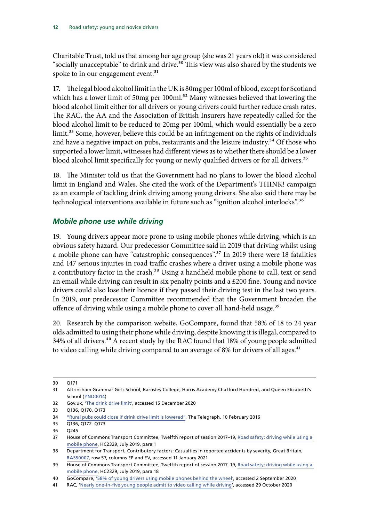<span id="page-13-0"></span>Charitable Trust, told us that among her age group (she was 21 years old) it was considered "socially unacceptable" to drink and drive.<sup>30</sup> This view was also shared by the students we spoke to in our engagement event.<sup>31</sup>

17. The legal blood alcohol limit in the UK is 80mg per 100ml of blood, except for Scotland which has a lower limit of 50mg per 100ml.<sup>32</sup> Many witnesses believed that lowering the blood alcohol limit either for all drivers or young drivers could further reduce crash rates. The RAC, the AA and the Association of British Insurers have repeatedly called for the blood alcohol limit to be reduced to 20mg per 100ml, which would essentially be a zero limit.<sup>33</sup> Some, however, believe this could be an infringement on the rights of individuals and have a negative impact on pubs, restaurants and the leisure industry.<sup>34</sup> Of those who supported a lower limit, witnesses had different views as to whether there should be a lower blood alcohol limit specifically for young or newly qualified drivers or for all drivers.<sup>35</sup>

18. The Minister told us that the Government had no plans to lower the blood alcohol limit in England and Wales. She cited the work of the Department's THINK! campaign as an example of tackling drink driving among young drivers. She also said there may be technological interventions available in future such as "ignition alcohol interlocks".<sup>36</sup>

### *Mobile phone use while driving*

19. Young drivers appear more prone to using mobile phones while driving, which is an obvious safety hazard. Our predecessor Committee said in 2019 that driving whilst using a mobile phone can have "catastrophic consequences".<sup>37</sup> In 2019 there were 18 fatalities and 147 serious injuries in road traffic crashes where a driver using a mobile phone was a contributory factor in the crash.<sup>38</sup> Using a handheld mobile phone to call, text or send an email while driving can result in six penalty points and a £200 fine. Young and novice drivers could also lose their licence if they passed their driving test in the last two years. In 2019, our predecessor Committee recommended that the Government broaden the offence of driving while using a mobile phone to cover all hand-held usage.<sup>39</sup>

20. Research by the comparison website, GoCompare, found that 58% of 18 to 24 year olds admitted to using their phone while driving, despite knowing it is illegal, compared to 34% of all drivers.<sup>40</sup> A recent study by the RAC found that 18% of young people admitted to video calling while driving compared to an average of 8% for drivers of all ages.<sup>41</sup>

<sup>30</sup> Q171

<sup>31</sup> Altrincham Grammar Girls School, Barnsley College, Harris Academy Chafford Hundred, and Queen Elizabeth's School ([YND0014](https://committees.parliament.uk/writtenevidence/12499/html/))

<sup>32</sup> Gov.uk, ['The drink drive limit'](https://www.gov.uk/drink-drive-limit), accessed 15 December 2020

<sup>33</sup> Q136, Q170, Q173

<sup>34</sup> ["Rural pubs could close if drink drive limit is lowered"](https://www.telegraph.co.uk/news/uknews/road-and-rail-transport/12150681/Rural-pubs-could-close-if-drink-drive-limit-is-lowered.html), The Telegraph, 10 February 2016

<sup>35</sup> Q136, Q172–Q173

<sup>36</sup> Q245

<sup>37</sup> House of Commons Transport Committee, Twelfth report of session 2017–19, [Road safety: driving while using a](https://publications.parliament.uk/pa/cm201719/cmselect/cmtrans/2329/2329.pdf)  [mobile phone,](https://publications.parliament.uk/pa/cm201719/cmselect/cmtrans/2329/2329.pdf) HC2329, July 2019, para 1

<sup>38</sup> Department for Transport, Contributory factors: Casualties in reported accidents by severity, Great Britain, [RAS50007](https://assets.publishing.service.gov.uk/government/uploads/system/uploads/attachment_data/file/922593/ras50007.ods), row 57, columns EP and EV, accessed 11 January 2021

<sup>39</sup> House of Commons Transport Committee, Twelfth report of session 2017–19, [Road safety: driving while using a](https://publications.parliament.uk/pa/cm201719/cmselect/cmtrans/2329/2329.pdf)  [mobile phone,](https://publications.parliament.uk/pa/cm201719/cmselect/cmtrans/2329/2329.pdf) HC2329, July 2019, para 18

<sup>40</sup> GoCompare, ['58% of young drivers using mobile phones behind the wheel'](https://press.gocompare.com/news/58-percent-of-young-drivers-using-mobile-phones-behind-the-wheel), accessed 2 September 2020

<sup>41</sup> RAC, ['Nearly one-in-five young people admit to video calling while driving](https://media.rac.co.uk/pressreleases/nearly-one-in-five-young-people-admit-to-video-calling-while-driving-3040275)', accessed 29 October 2020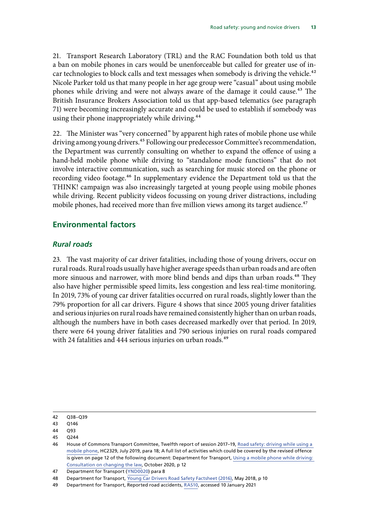<span id="page-14-0"></span>21. Transport Research Laboratory (TRL) and the RAC Foundation both told us that a ban on mobile phones in cars would be unenforceable but called for greater use of incar technologies to block calls and text messages when somebody is driving the vehicle.<sup>42</sup> Nicole Parker told us that many people in her age group were "casual" about using mobile phones while driving and were not always aware of the damage it could cause.<sup>43</sup> The British Insurance Brokers Association told us that app-based telematics (see paragraph 71) were becoming increasingly accurate and could be used to establish if somebody was using their phone inappropriately while driving.<sup>44</sup>

22. The Minister was "very concerned" by apparent high rates of mobile phone use while driving among young drivers.<sup>45</sup> Following our predecessor Committee's recommendation, the Department was currently consulting on whether to expand the offence of using a hand-held mobile phone while driving to "standalone mode functions" that do not involve interactive communication, such as searching for music stored on the phone or recording video footage.46 In supplementary evidence the Department told us that the THINK! campaign was also increasingly targeted at young people using mobile phones while driving. Recent publicity videos focussing on young driver distractions, including mobile phones, had received more than five million views among its target audience.<sup>47</sup>

## **Environmental factors**

#### *Rural roads*

23. The vast majority of car driver fatalities, including those of young drivers, occur on rural roads. Rural roads usually have higher average speeds than urban roads and are often more sinuous and narrower, with more blind bends and dips than urban roads.<sup>48</sup> They also have higher permissible speed limits, less congestion and less real-time monitoring. In 2019, 73% of young car driver fatalities occurred on rural roads, slightly lower than the 79% proportion for all car drivers. Figure 4 shows that since 2005 young driver fatalities and serious injuries on rural roads have remained consistently higher than on urban roads, although the numbers have in both cases decreased markedly over that period. In 2019, there were 64 young driver fatalities and 790 serious injuries on rural roads compared with 24 fatalities and 444 serious injuries on urban roads.<sup>49</sup>

<sup>42</sup> Q38–Q39

<sup>43</sup> Q146

<sup>44</sup> Q93

<sup>45</sup> Q244

<sup>46</sup> House of Commons Transport Committee, Twelfth report of session 2017–19, [Road safety: driving while using a](https://publications.parliament.uk/pa/cm201719/cmselect/cmtrans/2329/2329.pdf)  [mobile phone,](https://publications.parliament.uk/pa/cm201719/cmselect/cmtrans/2329/2329.pdf) HC2329, July 2019, para 18; A full list of activities which could be covered by the revised offence is given on page 12 of the following document: Department for Transport, [Using a mobile phone while driving:](https://assets.publishing.service.gov.uk/government/uploads/system/uploads/attachment_data/file/927069/using-a-mobile-phone-while-driving-consultation-on-changing-the-law.pdf)  [Consultation on changing the law,](https://assets.publishing.service.gov.uk/government/uploads/system/uploads/attachment_data/file/927069/using-a-mobile-phone-while-driving-consultation-on-changing-the-law.pdf) October 2020, p 12

<sup>47</sup> Department for Transport ([YND0020](https://committees.parliament.uk/writtenevidence/17529/html/)) para 8

<sup>48</sup> Department for Transport, [Young Car Drivers Road Safety Factsheet \(2016\)](https://assets.publishing.service.gov.uk/government/uploads/system/uploads/attachment_data/file/706516/young-car-drivers-factsheet.pdf), May 2018, p 10

<sup>49</sup> Department for Transport, Reported road accidents, [RAS10,](https://www.gov.uk/government/statistical-data-sets/ras10-reported-road-accidents) accessed 10 January 2021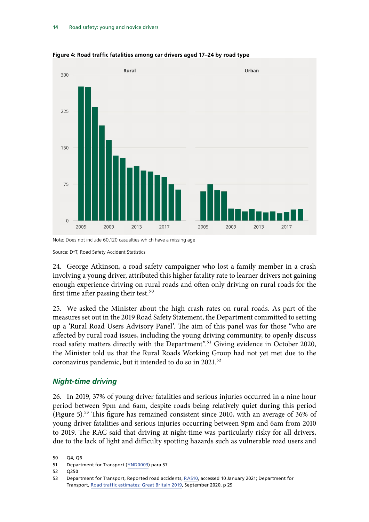

<span id="page-15-0"></span>**Figure 4: Road traffic fatalities among car drivers aged 17–24 by road type**

24. George Atkinson, a road safety campaigner who lost a family member in a crash involving a young driver, attributed this higher fatality rate to learner drivers not gaining enough experience driving on rural roads and often only driving on rural roads for the first time after passing their test.<sup>50</sup>

25. We asked the Minister about the high crash rates on rural roads. As part of the measures set out in the 2019 Road Safety Statement, the Department committed to setting up a 'Rural Road Users Advisory Panel'. The aim of this panel was for those "who are affected by rural road issues, including the young driving community, to openly discuss road safety matters directly with the Department".<sup>51</sup> Giving evidence in October 2020, the Minister told us that the Rural Roads Working Group had not yet met due to the coronavirus pandemic, but it intended to do so in 2021.<sup>52</sup>

#### *Night-time driving*

26. In 2019, 37% of young driver fatalities and serious injuries occurred in a nine hour period between 9pm and 6am, despite roads being relatively quiet during this period (Figure 5).53 This figure has remained consistent since 2010, with an average of 36% of young driver fatalities and serious injuries occurring between 9pm and 6am from 2010 to 2019. The RAC said that driving at night-time was particularly risky for all drivers, due to the lack of light and difficulty spotting hazards such as vulnerable road users and

Note: Does not include 60,120 casualties which have a missing age

Source: DfT, Road Safety Accident Statistics

<sup>50</sup> Q4, Q6

<sup>51</sup> Department for Transport ([YND0003](https://committees.parliament.uk/writtenevidence/1327/pdf/)) para 57

<sup>52</sup> Q250

<sup>53</sup> Department for Transport, Reported road accidents, [RAS10,](https://www.gov.uk/government/statistical-data-sets/ras10-reported-road-accidents) accessed 10 January 2021; Department for Transport, [Road traffic estimates: Great Britain 2019,](https://assets.publishing.service.gov.uk/government/uploads/system/uploads/attachment_data/file/916749/road-traffic-estimates-in-great-britain-2019.pdf) September 2020, p 29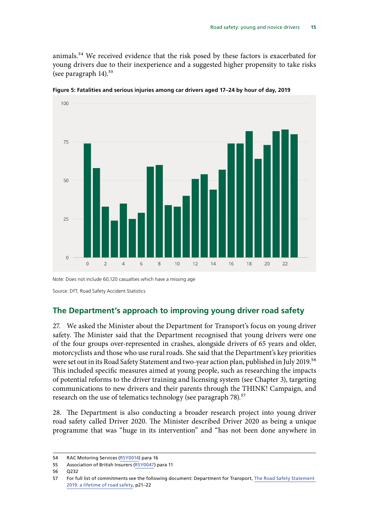<span id="page-16-0"></span>animals.54 We received evidence that the risk posed by these factors is exacerbated for young drivers due to their inexperience and a suggested higher propensity to take risks (see paragraph  $14$ ).<sup>55</sup>



**Figure 5: Fatalities and serious injuries among car drivers aged 17–24 by hour of day, 2019**

Note: Does not include 60,120 casualties which have a missing age

Source: DfT, Road Safety Accident Statistics

### **The Department's approach to improving young driver road safety**

27. We asked the Minister about the Department for Transport's focus on young driver safety. The Minister said that the Department recognised that young drivers were one of the four groups over-represented in crashes, alongside drivers of 65 years and older, motorcyclists and those who use rural roads. She said that the Department's key priorities were set out in its Road Safety Statement and two-year action plan, published in July 2019.56 This included specific measures aimed at young people, such as researching the impacts of potential reforms to the driver training and licensing system (see Chapter 3), targeting communications to new drivers and their parents through the THINK! Campaign, and research on the use of telematics technology (see paragraph 78).<sup>57</sup>

28. The Department is also conducting a broader research project into young driver road safety called Driver 2020. The Minister described Driver 2020 as being a unique programme that was "huge in its intervention" and "has not been done anywhere in

<sup>54</sup> RAC Motoring Services ([RSY0014](http://data.parliament.uk/writtenevidence/committeeevidence.svc/evidencedocument/transport-committee/road-safety-young-and-novice-drivers/written/104444.html)) para 16

<sup>55</sup> Association of British Insurers ([RSY0047\)](http://data.parliament.uk/writtenevidence/committeeevidence.svc/evidencedocument/transport-committee/road-safety-young-and-novice-drivers/written/104865.html) para 11

<sup>56</sup> Q232

<sup>57</sup> For full list of commitments see the following document: Department for Transport, [The Road Safety Statement](https://assets.publishing.service.gov.uk/government/uploads/system/uploads/attachment_data/file/817695/road-safety-statement-2019.pdf)  [2019: a lifetime of road safety](https://assets.publishing.service.gov.uk/government/uploads/system/uploads/attachment_data/file/817695/road-safety-statement-2019.pdf), p21–22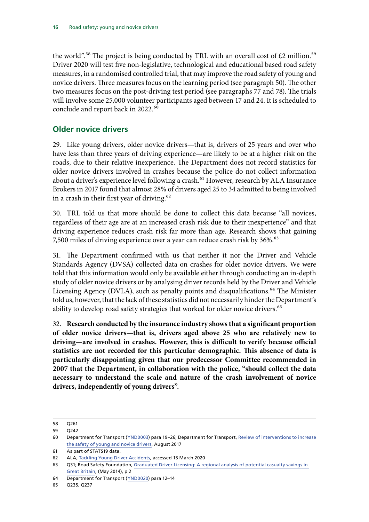<span id="page-17-0"></span>the world".<sup>58</sup> The project is being conducted by TRL with an overall cost of  $£2$  million.<sup>59</sup> Driver 2020 will test five non-legislative, technological and educational based road safety measures, in a randomised controlled trial, that may improve the road safety of young and novice drivers. Three measures focus on the learning period (see paragraph 50). The other two measures focus on the post-driving test period (see paragraphs 77 and 78). The trials will involve some 25,000 volunteer participants aged between 17 and 24. It is scheduled to conclude and report back in 2022.<sup>60</sup>

## **Older novice drivers**

29. Like young drivers, older novice drivers—that is, drivers of 25 years and over who have less than three years of driving experience—are likely to be at a higher risk on the roads, due to their relative inexperience. The Department does not record statistics for older novice drivers involved in crashes because the police do not collect information about a driver's experience level following a crash.<sup>61</sup> However, research by ALA Insurance Brokers in 2017 found that almost 28% of drivers aged 25 to 34 admitted to being involved in a crash in their first year of driving.<sup>62</sup>

30. TRL told us that more should be done to collect this data because "all novices, regardless of their age are at an increased crash risk due to their inexperience" and that driving experience reduces crash risk far more than age. Research shows that gaining 7,500 miles of driving experience over a year can reduce crash risk by 36%.<sup>63</sup>

31. The Department confirmed with us that neither it nor the Driver and Vehicle Standards Agency (DVSA) collected data on crashes for older novice drivers. We were told that this information would only be available either through conducting an in-depth study of older novice drivers or by analysing driver records held by the Driver and Vehicle Licensing Agency (DVLA), such as penalty points and disqualifications.<sup>64</sup> The Minister told us, however, that the lack of these statistics did not necessarily hinder the Department's ability to develop road safety strategies that worked for older novice drivers.<sup>65</sup>

32. **Research conducted by the insurance industry shows that a significant proportion of older novice drivers—that is, drivers aged above 25 who are relatively new to driving—are involved in crashes. However, this is difficult to verify because official statistics are not recorded for this particular demographic. This absence of data is particularly disappointing given that our predecessor Committee recommended in 2007 that the Department, in collaboration with the police, "should collect the data necessary to understand the scale and nature of the crash involvement of novice drivers, independently of young drivers".**

<sup>58</sup> Q261

<sup>59</sup> Q242

<sup>60</sup> Department for Transport ([YND0003](https://committees.parliament.uk/writtenevidence/1327/html/)) para 19–26; Department for Transport, [Review of interventions to increase](https://www.gov.uk/government/publications/review-of-interventions-to-increase-the-safety-of-young-and-novice-drivers) [the safety of young and novice drivers,](https://www.gov.uk/government/publications/review-of-interventions-to-increase-the-safety-of-young-and-novice-drivers) August 2017

<sup>61</sup> As part of STATS19 data.

<sup>62</sup> ALA, [Tackling Young Driver Accidents](https://www.ala.co.uk/connect/tackling-young-driver-accidents/), accessed 15 March 2020

<sup>63</sup> Q31; Road Safety Foundation, Graduated Driver Licensing: A regional analysis of potential casualty savings in [Great Britain,](https://www.racfoundation.org/assets/rac_foundation/content/downloadables/graduated_driver_licensing_regional_analysis_trl_270514.pdf) (May 2014), p 2

<sup>64</sup> Department for Transport ([YND0020](https://committees.parliament.uk/writtenevidence/17529/html/)) para 12–14

<sup>65</sup> Q235, Q237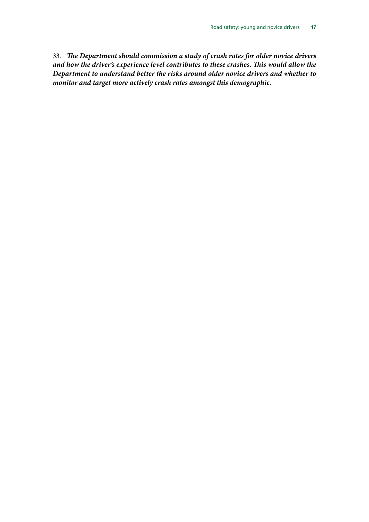33. *The Department should commission a study of crash rates for older novice drivers and how the driver's experience level contributes to these crashes. This would allow the Department to understand better the risks around older novice drivers and whether to monitor and target more actively crash rates amongst this demographic.*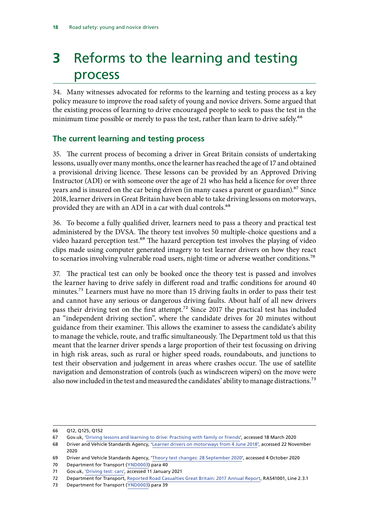## <span id="page-19-0"></span>**3** Reforms to the learning and testing process

34. Many witnesses advocated for reforms to the learning and testing process as a key policy measure to improve the road safety of young and novice drivers. Some argued that the existing process of learning to drive encouraged people to seek to pass the test in the minimum time possible or merely to pass the test, rather than learn to drive safely.<sup>66</sup>

## **The current learning and testing process**

35. The current process of becoming a driver in Great Britain consists of undertaking lessons, usually over many months, once the learner has reached the age of 17 and obtained a provisional driving licence. These lessons can be provided by an Approved Driving Instructor (ADI) or with someone over the age of 21 who has held a licence for over three years and is insured on the car being driven (in many cases a parent or guardian).<sup>67</sup> Since 2018, learner drivers in Great Britain have been able to take driving lessons on motorways, provided they are with an ADI in a car with dual controls.<sup>68</sup>

36. To become a fully qualified driver, learners need to pass a theory and practical test administered by the DVSA. The theory test involves 50 multiple-choice questions and a video hazard perception test.<sup>69</sup> The hazard perception test involves the playing of video clips made using computer generated imagery to test learner drivers on how they react to scenarios involving vulnerable road users, night-time or adverse weather conditions.<sup>70</sup>

37. The practical test can only be booked once the theory test is passed and involves the learner having to drive safely in different road and traffic conditions for around 40 minutes.<sup>71</sup> Learners must have no more than 15 driving faults in order to pass their test and cannot have any serious or dangerous driving faults. About half of all new drivers pass their driving test on the first attempt.72 Since 2017 the practical test has included an "independent driving section", where the candidate drives for 20 minutes without guidance from their examiner. This allows the examiner to assess the candidate's ability to manage the vehicle, route, and traffic simultaneously. The Department told us that this meant that the learner driver spends a large proportion of their test focussing on driving in high risk areas, such as rural or higher speed roads, roundabouts, and junctions to test their observation and judgement in areas where crashes occur. The use of satellite navigation and demonstration of controls (such as windscreen wipers) on the move were also now included in the test and measured the candidates' ability to manage distractions.<sup>73</sup>

<sup>66</sup> Q12, Q125, Q152

<sup>67</sup> Gov.uk, '[Driving lessons and learning to drive: Practising with family or friends'](https://www.gov.uk/driving-lessons-learning-to-drive/practising-with-family-or-friends), accessed 18 March 2020

<sup>68</sup> Driver and Vehicle Standards Agency, '[Learner drivers on motorways from 4 June 2018'](https://www.gov.uk/government/news/learner-drivers-will-be-allowed-on-motorways-from-2018), accessed 22 November 2020

<sup>69</sup> Driver and Vehicle Standards Agency, '[Theory test changes: 28 September 2020](https://www.gov.uk/government/news/theory-test-changes-28-september-2020)', accessed 4 October 2020

<sup>70</sup> Department for Transport ([YND0003](https://committees.parliament.uk/writtenevidence/1327/pdf/)) para 40

<sup>71</sup> Gov.uk, ['Driving test: cars',](https://www.gov.uk/driving-test/what-happens-during-test) accessed 11 January 2021

<sup>72</sup> Department for Transport, [Reported Road Casualties Great Britain: 2017 Annual Report](https://assets.publishing.service.gov.uk/government/uploads/system/uploads/attachment_data/file/755698/rrcgb-2017.pdf), RAS41001, Line 2.3.1

<sup>73</sup> Department for Transport ([YND0003](https://committees.parliament.uk/writtenevidence/1327/pdf/)) para 39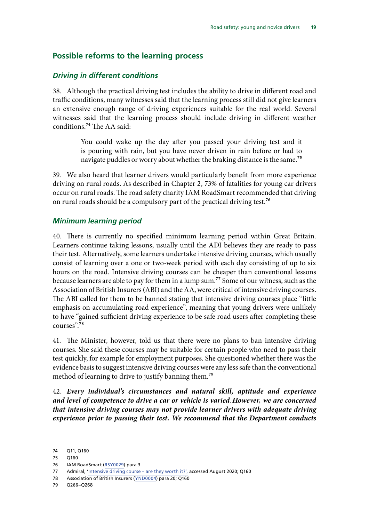#### <span id="page-20-0"></span>**Possible reforms to the learning process**

#### *Driving in different conditions*

38. Although the practical driving test includes the ability to drive in different road and traffic conditions, many witnesses said that the learning process still did not give learners an extensive enough range of driving experiences suitable for the real world. Several witnesses said that the learning process should include driving in different weather conditions.74 The AA said:

> You could wake up the day after you passed your driving test and it is pouring with rain, but you have never driven in rain before or had to navigate puddles or worry about whether the braking distance is the same.<sup>75</sup>

39. We also heard that learner drivers would particularly benefit from more experience driving on rural roads. As described in Chapter 2, 73% of fatalities for young car drivers occur on rural roads. The road safety charity IAM RoadSmart recommended that driving on rural roads should be a compulsory part of the practical driving test.<sup>76</sup>

#### *Minimum learning period*

40. There is currently no specified minimum learning period within Great Britain. Learners continue taking lessons, usually until the ADI believes they are ready to pass their test. Alternatively, some learners undertake intensive driving courses, which usually consist of learning over a one or two-week period with each day consisting of up to six hours on the road. Intensive driving courses can be cheaper than conventional lessons because learners are able to pay for them in a lump sum.<sup>77</sup> Some of our witness, such as the Association of British Insurers (ABI) and the AA, were critical of intensive driving courses. The ABI called for them to be banned stating that intensive driving courses place "little emphasis on accumulating road experience", meaning that young drivers were unlikely to have "gained sufficient driving experience to be safe road users after completing these courses".78

41. The Minister, however, told us that there were no plans to ban intensive driving courses. She said these courses may be suitable for certain people who need to pass their test quickly, for example for employment purposes. She questioned whether there was the evidence basis to suggest intensive driving courses were any less safe than the conventional method of learning to drive to justify banning them.<sup>79</sup>

42. *Every individual's circumstances and natural skill, aptitude and experience and level of competence to drive a car or vehicle is varied*. *However, we are concerned that intensive driving courses may not provide learner drivers with adequate driving experience prior to passing their test. We recommend that the Department conducts* 

<sup>74</sup> Q11, Q160

<sup>75</sup> Q160

<sup>76</sup> IAM RoadSmart ([RSY0029\)](http://data.parliament.uk/writtenevidence/committeeevidence.svc/evidencedocument/transport-committee/road-safety-young-and-novice-drivers/written/104757.html) para 3

<sup>77</sup> Admiral, '[Intensive driving course – are they worth it?',](https://www.admiral.com/magazine/guides/car-insurance/intensive-driving-courses-are-they-worth-it) accessed August 2020; Q160

<sup>78</sup> Association of British Insurers ([YND0004](https://committees.parliament.uk/writtenevidence/1332/html/)) para 20; Q160

<sup>79</sup> Q266–Q268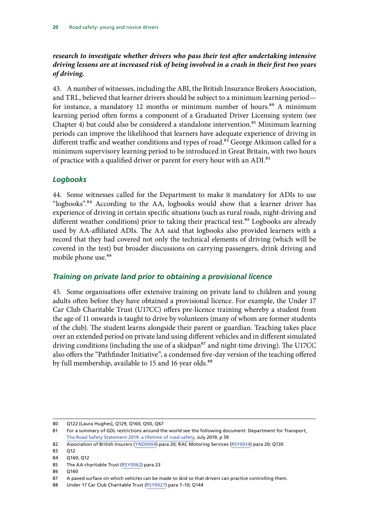### <span id="page-21-0"></span>*research to investigate whether drivers who pass their test after undertaking intensive driving lessons are at increased risk of being involved in a crash in their first two years of driving.*

43. A number of witnesses, including the ABI, the British Insurance Brokers Association, and TRL, believed that learner drivers should be subject to a minimum learning period for instance, a mandatory 12 months or minimum number of hours.<sup>80</sup> A minimum learning period often forms a component of a Graduated Driver Licensing system (see Chapter 4) but could also be considered a standalone intervention.<sup>81</sup> Minimum learning periods can improve the likelihood that learners have adequate experience of driving in different traffic and weather conditions and types of road.<sup>82</sup> George Atkinson called for a minimum supervisory learning period to be introduced in Great Britain, with two hours of practice with a qualified driver or parent for every hour with an ADI.<sup>83</sup>

### *Logbooks*

44. Some witnesses called for the Department to make it mandatory for ADIs to use "logbooks".<sup>84</sup> According to the AA, logbooks would show that a learner driver has experience of driving in certain specific situations (such as rural roads, night-driving and different weather conditions) prior to taking their practical test.<sup>85</sup> Logbooks are already used by AA-affiliated ADIs. The AA said that logbooks also provided learners with a record that they had covered not only the technical elements of driving (which will be covered in the test) but broader discussions on carrying passengers, drink driving and mobile phone use.<sup>86</sup>

### *Training on private land prior to obtaining a provisional licence*

45. Some organisations offer extensive training on private land to children and young adults often before they have obtained a provisional licence. For example, the Under 17 Car Club Charitable Trust (U17CC) offers pre-licence training whereby a student from the age of 11 onwards is taught to drive by volunteers (many of whom are former students of the club). The student learns alongside their parent or guardian. Teaching takes place over an extended period on private land using different vehicles and in different simulated driving conditions (including the use of a skidpan $^{87}$  and night-time driving). The U17CC also offers the "Pathfinder Initiative", a condensed five-day version of the teaching offered by full membership, available to 15 and 16 year olds.<sup>88</sup>

<sup>80</sup> Q122 [Laura Hughes], Q129, Q160, Q50, Q67

<sup>81</sup> For a summary of GDL restrictions around the world see the following document: Department for Transport, [The Road Safety Statement 2019: a lifetime of road safety,](https://assets.publishing.service.gov.uk/government/uploads/system/uploads/attachment_data/file/817695/road-safety-statement-2019.pdf) July 2019, p 59

<sup>82</sup> Association of British Insurers ([YND0004](https://committees.parliament.uk/writtenevidence/1332/html/)) para 20; RAC Motoring Services [\(RSY0014\)](http://data.parliament.uk/writtenevidence/committeeevidence.svc/evidencedocument/transport-committee/road-safety-young-and-novice-drivers/written/104444.html) para 20; Q130

<sup>83</sup> Q12

<sup>84</sup> Q160; Q12

<sup>85</sup> The AA charitable Trust ([RSY0062\)](http://data.parliament.uk/writtenevidence/committeeevidence.svc/evidencedocument/transport-committee/road-safety-young-and-novice-drivers/written/105055.html) para 23

<sup>86</sup> Q160

<sup>87</sup> A paved surface on which vehicles can be made to skid so that drivers can practice controlling them.

<sup>88</sup> Under 17 Car Club Charitable Trust ([RSY0027\)](http://data.parliament.uk/writtenevidence/committeeevidence.svc/evidencedocument/transport-committee/road-safety-young-and-novice-drivers/written/104751.html) para 7–10; Q144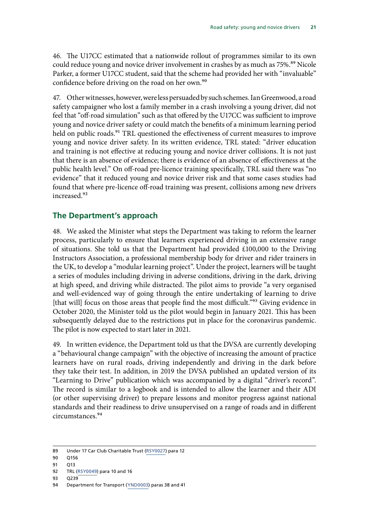<span id="page-22-0"></span>46. The U17CC estimated that a nationwide rollout of programmes similar to its own could reduce young and novice driver involvement in crashes by as much as 75%.<sup>89</sup> Nicole Parker, a former U17CC student, said that the scheme had provided her with "invaluable" confidence before driving on the road on her own.<sup>90</sup>

47. Other witnesses, however, were less persuaded by such schemes. Ian Greenwood, a road safety campaigner who lost a family member in a crash involving a young driver, did not feel that "off-road simulation" such as that offered by the U17CC was sufficient to improve young and novice driver safety or could match the benefits of a minimum learning period held on public roads.<sup>91</sup> TRL questioned the effectiveness of current measures to improve young and novice driver safety. In its written evidence, TRL stated: "driver education and training is not effective at reducing young and novice driver collisions. It is not just that there is an absence of evidence; there is evidence of an absence of effectiveness at the public health level." On off-road pre-licence training specifically, TRL said there was "no evidence" that it reduced young and novice driver risk and that some cases studies had found that where pre-licence off-road training was present, collisions among new drivers increased.92

### **The Department's approach**

48. We asked the Minister what steps the Department was taking to reform the learner process, particularly to ensure that learners experienced driving in an extensive range of situations. She told us that the Department had provided £100,000 to the Driving Instructors Association, a professional membership body for driver and rider trainers in the UK, to develop a "modular learning project". Under the project, learners will be taught a series of modules including driving in adverse conditions, driving in the dark, driving at high speed, and driving while distracted. The pilot aims to provide "a very organised and well-evidenced way of going through the entire undertaking of learning to drive [that will] focus on those areas that people find the most difficult."<sup>93</sup> Giving evidence in October 2020, the Minister told us the pilot would begin in January 2021. This has been subsequently delayed due to the restrictions put in place for the coronavirus pandemic. The pilot is now expected to start later in 2021.

49. In written evidence, the Department told us that the DVSA are currently developing a "behavioural change campaign" with the objective of increasing the amount of practice learners have on rural roads, driving independently and driving in the dark before they take their test. In addition, in 2019 the DVSA published an updated version of its "Learning to Drive" publication which was accompanied by a digital "driver's record". The record is similar to a logbook and is intended to allow the learner and their ADI (or other supervising driver) to prepare lessons and monitor progress against national standards and their readiness to drive unsupervised on a range of roads and in different circumstances.94

- 90 Q156
- 91 013

93 Q239

<sup>89</sup> Under 17 Car Club Charitable Trust ([RSY0027\)](http://data.parliament.uk/writtenevidence/committeeevidence.svc/evidencedocument/transport-committee/road-safety-young-and-novice-drivers/written/104751.html) para 12

<sup>92</sup> TRL [\(RSY0049](http://data.parliament.uk/writtenevidence/committeeevidence.svc/evidencedocument/transport-committee/road-safety-young-and-novice-drivers/written/104869.html)) para 10 and 16

<sup>94</sup> Department for Transport ([YND0003](https://committees.parliament.uk/writtenevidence/1327/pdf/)) paras 38 and 41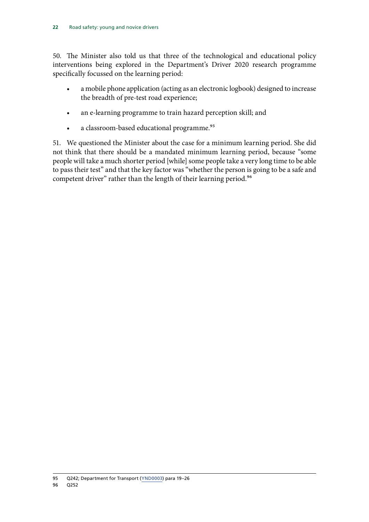50. The Minister also told us that three of the technological and educational policy interventions being explored in the Department's Driver 2020 research programme specifically focussed on the learning period:

- a mobile phone application (acting as an electronic logbook) designed to increase the breadth of pre-test road experience;
- an e-learning programme to train hazard perception skill; and
- a classroom-based educational programme.<sup>95</sup>

51. We questioned the Minister about the case for a minimum learning period. She did not think that there should be a mandated minimum learning period, because "some people will take a much shorter period [while] some people take a very long time to be able to pass their test" and that the key factor was "whether the person is going to be a safe and competent driver" rather than the length of their learning period.<sup>96</sup>

<sup>95</sup> Q242; Department for Transport [\(YND0003](https://committees.parliament.uk/writtenevidence/1327/pdf/)) para 19–26 96 Q252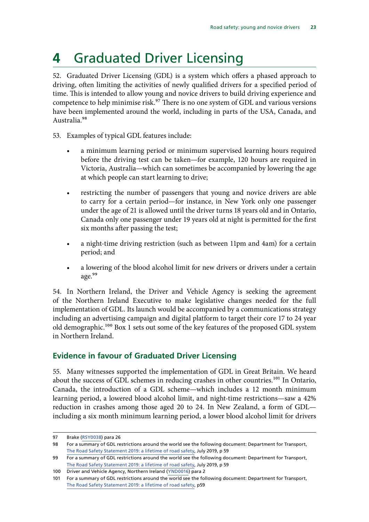## <span id="page-24-0"></span>**4** Graduated Driver Licensing

52. Graduated Driver Licensing (GDL) is a system which offers a phased approach to driving, often limiting the activities of newly qualified drivers for a specified period of time. This is intended to allow young and novice drivers to build driving experience and competence to help minimise risk.<sup>97</sup> There is no one system of GDL and various versions have been implemented around the world, including in parts of the USA, Canada, and Australia.98

- 53. Examples of typical GDL features include:
	- a minimum learning period or minimum supervised learning hours required before the driving test can be taken—for example, 120 hours are required in Victoria, Australia—which can sometimes be accompanied by lowering the age at which people can start learning to drive;
	- restricting the number of passengers that young and novice drivers are able to carry for a certain period—for instance, in New York only one passenger under the age of 21 is allowed until the driver turns 18 years old and in Ontario, Canada only one passenger under 19 years old at night is permitted for the first six months after passing the test;
	- a night-time driving restriction (such as between 11pm and 4am) for a certain period; and
	- a lowering of the blood alcohol limit for new drivers or drivers under a certain age.<sup>99</sup>

54. In Northern Ireland, the Driver and Vehicle Agency is seeking the agreement of the Northern Ireland Executive to make legislative changes needed for the full implementation of GDL. Its launch would be accompanied by a communications strategy including an advertising campaign and digital platform to target their core 17 to 24 year old demographic.<sup>100</sup> Box 1 sets out some of the key features of the proposed GDL system in Northern Ireland.

## **Evidence in favour of Graduated Driver Licensing**

55. Many witnesses supported the implementation of GDL in Great Britain. We heard about the success of GDL schemes in reducing crashes in other countries.<sup>101</sup> In Ontario, Canada, the introduction of a GDL scheme—which includes a 12 month minimum learning period, a lowered blood alcohol limit, and night-time restrictions—saw a 42% reduction in crashes among those aged 20 to 24. In New Zealand, a form of GDL including a six month minimum learning period, a lower blood alcohol limit for drivers

<sup>97</sup> Brake [\(RSY0038\)](http://data.parliament.uk/writtenevidence/committeeevidence.svc/evidencedocument/transport-committee/road-safety-young-and-novice-drivers/written/104805.html) para 26

<sup>98</sup> For a summary of GDL restrictions around the world see the following document: Department for Transport, [The Road Safety Statement 2019: a lifetime of road safety,](https://assets.publishing.service.gov.uk/government/uploads/system/uploads/attachment_data/file/817695/road-safety-statement-2019.pdf) July 2019, p 59

<sup>99</sup> For a summary of GDL restrictions around the world see the following document: Department for Transport, [The Road Safety Statement 2019: a lifetime of road safety,](https://assets.publishing.service.gov.uk/government/uploads/system/uploads/attachment_data/file/817695/road-safety-statement-2019.pdf) July 2019, p 59

<sup>100</sup> Driver and Vehicle Agency, Northern Ireland ([YND0016](https://committees.parliament.uk/writtenevidence/13789/html/)) para 2

<sup>101</sup> For a summary of GDL restrictions around the world see the following document: Department for Transport, [The Road Safety Statement 2019: a lifetime of road safety,](https://assets.publishing.service.gov.uk/government/uploads/system/uploads/attachment_data/file/817695/road-safety-statement-2019.pdf) p59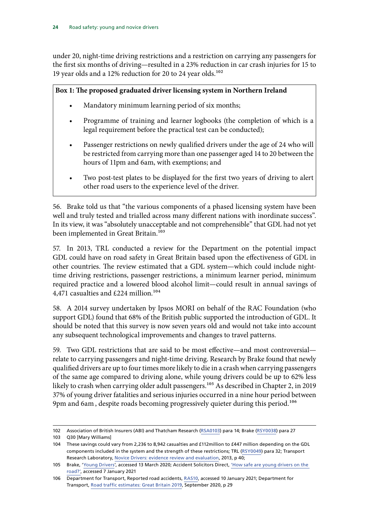under 20, night-time driving restrictions and a restriction on carrying any passengers for the first six months of driving—resulted in a 23% reduction in car crash injuries for 15 to 19 year olds and a 12% reduction for 20 to 24 year olds.<sup>102</sup>

#### **Box 1: The proposed graduated driver licensing system in Northern Ireland**

- Mandatory minimum learning period of six months;
- Programme of training and learner logbooks (the completion of which is a legal requirement before the practical test can be conducted);
- Passenger restrictions on newly qualified drivers under the age of 24 who will be restricted from carrying more than one passenger aged 14 to 20 between the hours of 11pm and 6am, with exemptions; and
- Two post-test plates to be displayed for the first two years of driving to alert other road users to the experience level of the driver.

56. Brake told us that "the various components of a phased licensing system have been well and truly tested and trialled across many different nations with inordinate success". In its view, it was "absolutely unacceptable and not comprehensible" that GDL had not yet been implemented in Great Britain.<sup>103</sup>

57. In 2013, TRL conducted a review for the Department on the potential impact GDL could have on road safety in Great Britain based upon the effectiveness of GDL in other countries. The review estimated that a GDL system—which could include nighttime driving restrictions, passenger restrictions, a minimum learner period, minimum required practice and a lowered blood alcohol limit—could result in annual savings of 4,471 casualties and £224 million.<sup>104</sup>

58. A 2014 survey undertaken by Ipsos MORI on behalf of the RAC Foundation (who support GDL) found that 68% of the British public supported the introduction of GDL. It should be noted that this survey is now seven years old and would not take into account any subsequent technological improvements and changes to travel patterns.

59. Two GDL restrictions that are said to be most effective—and most controversial relate to carrying passengers and night-time driving. Research by Brake found that newly qualified drivers are up to four times more likely to die in a crash when carrying passengers of the same age compared to driving alone, while young drivers could be up to 62% less likely to crash when carrying older adult passengers.<sup>105</sup> As described in Chapter 2, in 2019 37% of young driver fatalities and serious injuries occurred in a nine hour period between 9pm and 6am, despite roads becoming progressively quieter during this period.<sup>106</sup>

<sup>102</sup> Association of British Insurers (ABI) and Thatcham Research [\(RSA0103\)](http://data.parliament.uk/writtenevidence/committeeevidence.svc/evidencedocument/transport-committee/road-safety/written/100198.html) para 14; Brake ([RSY0038\)](http://data.parliament.uk/writtenevidence/committeeevidence.svc/evidencedocument/transport-committee/road-safety-young-and-novice-drivers/written/104805.html) para 27

<sup>103</sup> Q30 [Mary Williams]

<sup>104</sup> These savings could vary from 2,236 to 8,942 casualties and £112million to £447 million depending on the GDL components included in the system and the strength of these restrictions; TRL ([RSY0049\)](http://data.parliament.uk/writtenevidence/committeeevidence.svc/evidencedocument/transport-committee/road-safety-young-and-novice-drivers/written/104869.html) para 32; Transport Research Laboratory, [Novice Drivers: evidence review and evaluation](https://trl.co.uk/uploads/trl/documents/PPR673.pdf), 2013, p 40;

<sup>105</sup> Brake, ['Young Drivers'](http://www.brake.org.uk/news/15-facts-a-resources/facts/488-young-drivers-the-hard-facts), accessed 13 March 2020; Accident Solicitors Direct, 'How safe are young drivers on the [road?'](https://www.asdonline.co.uk/advice-centre/how-safe-are-young-drivers-on-the-road), accessed 7 January 2021

<sup>106</sup> Department for Transport, Reported road accidents, [RAS10,](https://www.gov.uk/government/statistical-data-sets/ras10-reported-road-accidents) accessed 10 January 2021; Department for Transport, [Road traffic estimates: Great Britain 2019,](https://assets.publishing.service.gov.uk/government/uploads/system/uploads/attachment_data/file/916749/road-traffic-estimates-in-great-britain-2019.pdf) September 2020, p 29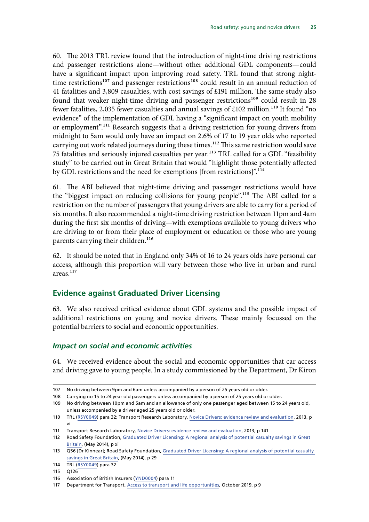<span id="page-26-0"></span>60. The 2013 TRL review found that the introduction of night-time driving restrictions and passenger restrictions alone—without other additional GDL components—could have a significant impact upon improving road safety. TRL found that strong nighttime restrictions<sup>107</sup> and passenger restrictions<sup>108</sup> could result in an annual reduction of 41 fatalities and 3,809 casualties, with cost savings of £191 million. The same study also found that weaker night-time driving and passenger restrictions<sup>109</sup> could result in 28 fewer fatalities, 2,035 fewer casualties and annual savings of  $£102$  million.<sup>110</sup> It found "no evidence" of the implementation of GDL having a "significant impact on youth mobility or employment".111 Research suggests that a driving restriction for young drivers from midnight to 5am would only have an impact on 2.6% of 17 to 19 year olds who reported carrying out work related journeys during these times.<sup>112</sup> This same restriction would save 75 fatalities and seriously injured casualties per year.<sup>113</sup> TRL called for a GDL "feasibility study" to be carried out in Great Britain that would "highlight those potentially affected by GDL restrictions and the need for exemptions [from restrictions]".<sup>114</sup>

61. The ABI believed that night-time driving and passenger restrictions would have the "biggest impact on reducing collisions for young people".115 The ABI called for a restriction on the number of passengers that young drivers are able to carry for a period of six months. It also recommended a night-time driving restriction between 11pm and 4am during the first six months of driving—with exemptions available to young drivers who are driving to or from their place of employment or education or those who are young parents carrying their children.<sup>116</sup>

62. It should be noted that in England only 34% of 16 to 24 years olds have personal car access, although this proportion will vary between those who live in urban and rural areas.<sup>117</sup>

### **Evidence against Graduated Driver Licensing**

63. We also received critical evidence about GDL systems and the possible impact of additional restrictions on young and novice drivers. These mainly focussed on the potential barriers to social and economic opportunities.

#### *Impact on social and economic activities*

64. We received evidence about the social and economic opportunities that car access and driving gave to young people. In a study commissioned by the Department, Dr Kiron

<sup>107</sup> No driving between 9pm and 6am unless accompanied by a person of 25 years old or older.

<sup>108</sup> Carrying no 15 to 24 year old passengers unless accompanied by a person of 25 years old or older.

<sup>109</sup> No driving between 10pm and 5am and an allowance of only one passenger aged between 15 to 24 years old, unless accompanied by a driver aged 25 years old or older.

<sup>110</sup> TRL [\(RSY0049](http://data.parliament.uk/writtenevidence/committeeevidence.svc/evidencedocument/transport-committee/road-safety-young-and-novice-drivers/written/104869.html)) para 32; Transport Research Laboratory, [Novice Drivers: evidence review and evaluation,](https://trl.co.uk/uploads/trl/documents/PPR673.pdf) 2013, p vi

<sup>111</sup> Transport Research Laboratory, [Novice Drivers: evidence review and evaluation,](https://trl.co.uk/uploads/trl/documents/PPR673.pdf) 2013, p 141

<sup>112</sup> Road Safety Foundation, [Graduated Driver Licensing: A regional analysis of potential casualty savings in Great](https://www.racfoundation.org/assets/rac_foundation/content/downloadables/graduated_driver_licensing_regional_analysis_trl_270514.pdf)  [Britain,](https://www.racfoundation.org/assets/rac_foundation/content/downloadables/graduated_driver_licensing_regional_analysis_trl_270514.pdf) (May 2014), p xi

<sup>113</sup> Q56 [Dr Kinnear]; Road Safety Foundation, [Graduated Driver Licensing: A regional analysis of potential casualty](https://www.racfoundation.org/assets/rac_foundation/content/downloadables/graduated_driver_licensing_regional_analysis_trl_270514.pdf)  [savings in Great Britain](https://www.racfoundation.org/assets/rac_foundation/content/downloadables/graduated_driver_licensing_regional_analysis_trl_270514.pdf), (May 2014), p 29

<sup>114</sup> TRL [\(RSY0049](http://data.parliament.uk/writtenevidence/committeeevidence.svc/evidencedocument/transport-committee/road-safety-young-and-novice-drivers/written/104869.html)) para 32

<sup>115</sup> Q126

<sup>116</sup> Association of British Insurers ([YND0004](https://committees.parliament.uk/writtenevidence/1332/html/)) para 11

<sup>117</sup> Department for Transport, [Access to transport and life opportunities,](https://assets.publishing.service.gov.uk/government/uploads/system/uploads/attachment_data/file/831766/access_to_transport_report.pdf) October 2019, p 9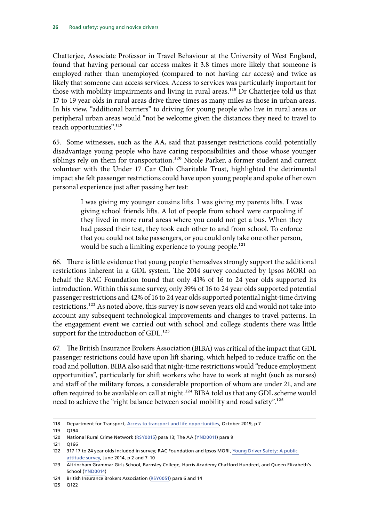Chatterjee, Associate Professor in Travel Behaviour at the University of West England, found that having personal car access makes it 3.8 times more likely that someone is employed rather than unemployed (compared to not having car access) and twice as likely that someone can access services. Access to services was particularly important for those with mobility impairments and living in rural areas.<sup>118</sup> Dr Chatterjee told us that 17 to 19 year olds in rural areas drive three times as many miles as those in urban areas. In his view, "additional barriers" to driving for young people who live in rural areas or peripheral urban areas would "not be welcome given the distances they need to travel to reach opportunities".<sup>119</sup>

65. Some witnesses, such as the AA, said that passenger restrictions could potentially disadvantage young people who have caring responsibilities and those whose younger siblings rely on them for transportation.<sup>120</sup> Nicole Parker, a former student and current volunteer with the Under 17 Car Club Charitable Trust, highlighted the detrimental impact she felt passenger restrictions could have upon young people and spoke of her own personal experience just after passing her test:

> I was giving my younger cousins lifts. I was giving my parents lifts. I was giving school friends lifts. A lot of people from school were carpooling if they lived in more rural areas where you could not get a bus. When they had passed their test, they took each other to and from school. To enforce that you could not take passengers, or you could only take one other person, would be such a limiting experience to young people.<sup>121</sup>

66. There is little evidence that young people themselves strongly support the additional restrictions inherent in a GDL system. The 2014 survey conducted by Ipsos MORI on behalf the RAC Foundation found that only 41% of 16 to 24 year olds supported its introduction. Within this same survey, only 39% of 16 to 24 year olds supported potential passenger restrictions and 42% of 16 to 24 year olds supported potential night-time driving restrictions.122 As noted above, this survey is now seven years old and would not take into account any subsequent technological improvements and changes to travel patterns. In the engagement event we carried out with school and college students there was little support for the introduction of GDL.<sup>123</sup>

67. The British Insurance Brokers Association(BIBA) was critical of the impact that GDL passenger restrictions could have upon lift sharing, which helped to reduce traffic on the road and pollution. BIBA also said that night-time restrictions would "reduce employment opportunities", particularly for shift workers who have to work at night (such as nurses) and staff of the military forces, a considerable proportion of whom are under 21, and are often required to be available on call at night.<sup>124</sup> BIBA told us that any GDL scheme would need to achieve the "right balance between social mobility and road safety".<sup>125</sup>

<sup>118</sup> Department for Transport, [Access to transport and life opportunities,](https://assets.publishing.service.gov.uk/government/uploads/system/uploads/attachment_data/file/831766/access_to_transport_report.pdf) October 2019, p 7

<sup>119</sup> Q194

<sup>120</sup> National Rural Crime Network ([RSY0015](http://data.parliament.uk/writtenevidence/committeeevidence.svc/evidencedocument/transport-committee/road-safety-young-and-novice-drivers/written/104525.html)) para 13; The AA ([YND0011](https://committees.parliament.uk/writtenevidence/8225/html/)) para 9

<sup>121</sup> Q166

<sup>122</sup> 317 17 to 24 year olds included in survey; RAC Foundation and Ipsos MORI, [Young Driver Safety: A public](https://www.racfoundation.org/wp-content/uploads/2017/11/ipsos_mori_young_driver_safety_survey_final_june_2014.pdf)  [attitude survey,](https://www.racfoundation.org/wp-content/uploads/2017/11/ipsos_mori_young_driver_safety_survey_final_june_2014.pdf) June 2014, p 2 and 7–10

<sup>123</sup> Altrincham Grammar Girls School, Barnsley College, Harris Academy Chafford Hundred, and Queen Elizabeth's School ([YND0014](https://committees.parliament.uk/writtenevidence/12499/html/))

<sup>124</sup> British Insurance Brokers Association [\(RSY0051](http://data.parliament.uk/writtenevidence/committeeevidence.svc/evidencedocument/transport-committee/road-safety-young-and-novice-drivers/written/104880.html)) para 6 and 14

<sup>125</sup> Q122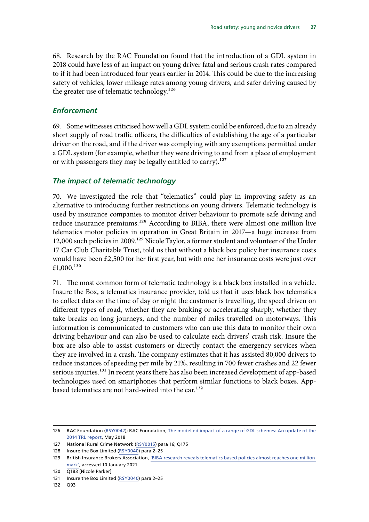<span id="page-28-0"></span>68. Research by the RAC Foundation found that the introduction of a GDL system in 2018 could have less of an impact on young driver fatal and serious crash rates compared to if it had been introduced four years earlier in 2014. This could be due to the increasing safety of vehicles, lower mileage rates among young drivers, and safer driving caused by the greater use of telematic technology.<sup>126</sup>

#### *Enforcement*

69. Some witnesses criticised how well a GDL system could be enforced, due to an already short supply of road traffic officers, the difficulties of establishing the age of a particular driver on the road, and if the driver was complying with any exemptions permitted under a GDL system (for example, whether they were driving to and from a place of employment or with passengers they may be legally entitled to carry).<sup>127</sup>

#### *The impact of telematic technology*

70. We investigated the role that "telematics" could play in improving safety as an alternative to introducing further restrictions on young drivers. Telematic technology is used by insurance companies to monitor driver behaviour to promote safe driving and reduce insurance premiums.<sup>128</sup> According to BIBA, there were almost one million live telematics motor policies in operation in Great Britain in 2017—a huge increase from 12,000 such policies in 2009.<sup>129</sup> Nicole Taylor, a former student and volunteer of the Under 17 Car Club Charitable Trust, told us that without a black box policy her insurance costs would have been £2,500 for her first year, but with one her insurance costs were just over £1,000. $130$ 

71. The most common form of telematic technology is a black box installed in a vehicle. Insure the Box, a telematics insurance provider, told us that it uses black box telematics to collect data on the time of day or night the customer is travelling, the speed driven on different types of road, whether they are braking or accelerating sharply, whether they take breaks on long journeys, and the number of miles travelled on motorways. This information is communicated to customers who can use this data to monitor their own driving behaviour and can also be used to calculate each drivers' crash risk. Insure the box are also able to assist customers or directly contact the emergency services when they are involved in a crash. The company estimates that it has assisted 80,000 drivers to reduce instances of speeding per mile by 21%, resulting in 700 fewer crashes and 22 fewer serious injuries.<sup>131</sup> In recent years there has also been increased development of app-based technologies used on smartphones that perform similar functions to black boxes. Appbased telematics are not hard-wired into the car.<sup>132</sup>

132 Q93

<sup>126</sup> RAC Foundation ([RSY0042\)](http://data.parliament.uk/writtenevidence/committeeevidence.svc/evidencedocument/transport-committee/road-safety-young-and-novice-drivers/written/104831.html); RAC Foundation, [The modelled impact of a range of GDL schemes: An update of the](https://www.racfoundation.org/wp-content/uploads/GDL_Update_Makwana_RACFoundation_2018.pdf)  [2014 TRL report](https://www.racfoundation.org/wp-content/uploads/GDL_Update_Makwana_RACFoundation_2018.pdf), May 2018

<sup>127</sup> National Rural Crime Network ([RSY0015](http://data.parliament.uk/writtenevidence/committeeevidence.svc/evidencedocument/transport-committee/road-safety-young-and-novice-drivers/written/104525.html)) para 16; Q175

<sup>128</sup> Insure the Box Limited [\(RSY0040\)](http://data.parliament.uk/writtenevidence/committeeevidence.svc/evidencedocument/transport-committee/road-safety-young-and-novice-drivers/written/104829.html) para 2-25

<sup>129</sup> British Insurance Brokers Association, ['BIBA research reveals telematics based policies almost reaches one million](https://www.biba.org.uk/press-releases/biba-research-reveals-telematics-almost-reach-one-million-mark/)  [mark',](https://www.biba.org.uk/press-releases/biba-research-reveals-telematics-almost-reach-one-million-mark/) accessed 10 January 2021

<sup>130</sup> Q183 [Nicole Parker]

<sup>131</sup> Insure the Box Limited [\(RSY0040\)](http://data.parliament.uk/writtenevidence/committeeevidence.svc/evidencedocument/transport-committee/road-safety-young-and-novice-drivers/written/104829.html) para 2–25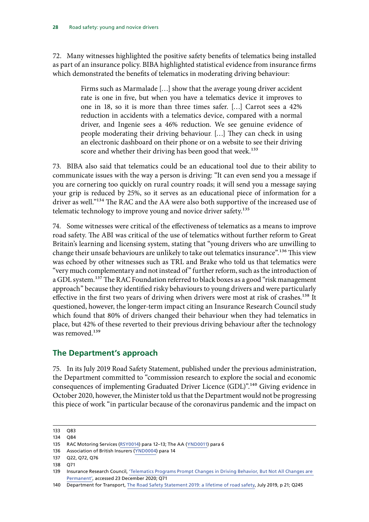<span id="page-29-0"></span>72. Many witnesses highlighted the positive safety benefits of telematics being installed as part of an insurance policy. BIBA highlighted statistical evidence from insurance firms which demonstrated the benefits of telematics in moderating driving behaviour:

> Firms such as Marmalade […] show that the average young driver accident rate is one in five, but when you have a telematics device it improves to one in 18, so it is more than three times safer. […] Carrot sees a 42% reduction in accidents with a telematics device, compared with a normal driver, and Ingenie sees a 46% reduction. We see genuine evidence of people moderating their driving behaviour. […] They can check in using an electronic dashboard on their phone or on a website to see their driving score and whether their driving has been good that week.<sup>133</sup>

73. BIBA also said that telematics could be an educational tool due to their ability to communicate issues with the way a person is driving: "It can even send you a message if you are cornering too quickly on rural country roads; it will send you a message saying your grip is reduced by 25%, so it serves as an educational piece of information for a driver as well."<sup>134</sup> The RAC and the AA were also both supportive of the increased use of telematic technology to improve young and novice driver safety.<sup>135</sup>

74. Some witnesses were critical of the effectiveness of telematics as a means to improve road safety. The ABI was critical of the use of telematics without further reform to Great Britain's learning and licensing system, stating that "young drivers who are unwilling to change their unsafe behaviours are unlikely to take out telematics insurance".<sup>136</sup> This view was echoed by other witnesses such as TRL and Brake who told us that telematics were "very much complementary and not instead of" further reform, such as the introduction of a GDL system.<sup>137</sup> The RAC Foundation referred to black boxes as a good "risk management approach" because they identified risky behaviours to young drivers and were particularly effective in the first two years of driving when drivers were most at risk of crashes.<sup>138</sup> It questioned, however, the longer-term impact citing an Insurance Research Council study which found that 80% of drivers changed their behaviour when they had telematics in place, but 42% of these reverted to their previous driving behaviour after the technology was removed.<sup>139</sup>

### **The Department's approach**

75. In its July 2019 Road Safety Statement, published under the previous administration, the Department committed to "commission research to explore the social and economic consequences of implementing Graduated Driver Licence (GDL)".140 Giving evidence in October 2020, however, the Minister told us that the Department would not be progressing this piece of work "in particular because of the coronavirus pandemic and the impact on

<sup>133</sup> Q83

<sup>134</sup> Q84

<sup>135</sup> RAC Motoring Services ([RSY0014](http://data.parliament.uk/writtenevidence/committeeevidence.svc/evidencedocument/transport-committee/road-safety-young-and-novice-drivers/written/104444.html)) para 12–13; The AA ([YND0011\)](https://committees.parliament.uk/writtenevidence/8225/html/) para 6

<sup>136</sup> Association of British Insurers ([YND0004](https://committees.parliament.uk/writtenevidence/1332/html/)) para 14

<sup>137</sup> Q22, Q72, Q76

<sup>138</sup> Q71

<sup>139</sup> Insurance Research Council, ['Telematics Programs Prompt Changes in Driving Behavior, But Not All Changes are](https://web.theinstitutes.org/telematics-programs-prompt-changes-driving-behavior-not-all-changes-are-permanent)  [Permanent'](https://web.theinstitutes.org/telematics-programs-prompt-changes-driving-behavior-not-all-changes-are-permanent), accessed 23 December 2020; Q71

<sup>140</sup> Department for Transport, [The Road Safety Statement 2019: a lifetime of road safety](https://assets.publishing.service.gov.uk/government/uploads/system/uploads/attachment_data/file/817695/road-safety-statement-2019.pdf), July 2019, p 21; Q245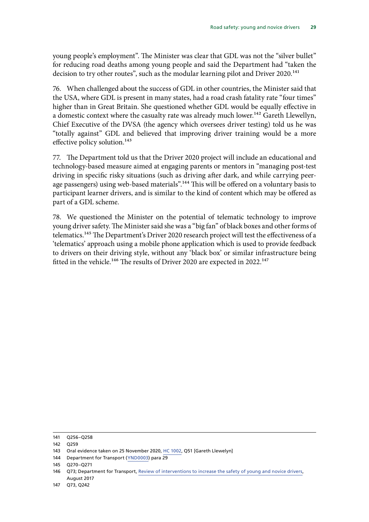young people's employment". The Minister was clear that GDL was not the "silver bullet" for reducing road deaths among young people and said the Department had "taken the decision to try other routes", such as the modular learning pilot and Driver 2020.<sup>141</sup>

76. When challenged about the success of GDL in other countries, the Minister said that the USA, where GDL is present in many states, had a road crash fatality rate "four times" higher than in Great Britain. She questioned whether GDL would be equally effective in a domestic context where the casualty rate was already much lower.<sup>142</sup> Gareth Llewellyn, Chief Executive of the DVSA (the agency which oversees driver testing) told us he was "totally against" GDL and believed that improving driver training would be a more effective policy solution.<sup>143</sup>

77. The Department told us that the Driver 2020 project will include an educational and technology-based measure aimed at engaging parents or mentors in "managing post-test driving in specific risky situations (such as driving after dark, and while carrying peerage passengers) using web-based materials".<sup>144</sup> This will be offered on a voluntary basis to participant learner drivers, and is similar to the kind of content which may be offered as part of a GDL scheme.

78. We questioned the Minister on the potential of telematic technology to improve young driver safety. The Minister said she was a "big fan" of black boxes and other forms of telematics.<sup>145</sup> The Department's Driver 2020 research project will test the effectiveness of a 'telematics' approach using a mobile phone application which is used to provide feedback to drivers on their driving style, without any 'black box' or similar infrastructure being fitted in the vehicle.<sup>146</sup> The results of Driver 2020 are expected in 2022.<sup>147</sup>

<sup>141</sup> Q256–Q258

<sup>142</sup> Q259

<sup>143</sup> Oral evidence taken on 25 November 2020, [HC 1002,](https://committees.parliament.uk/oralevidence/1282/html/) Q51 [Gareth Llewelyn]

<sup>144</sup> Department for Transport ([YND0003](https://committees.parliament.uk/writtenevidence/1327/pdf/)) para 29

<sup>145</sup> Q270–Q271

<sup>146</sup> Q73; Department for Transport, [Review of interventions to increase the safety of young and novice drivers](https://www.gov.uk/government/publications/review-of-interventions-to-increase-the-safety-of-young-and-novice-drivers), August 2017

<sup>147</sup> Q73, Q242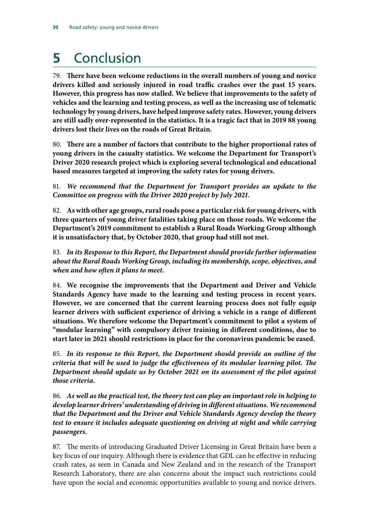## <span id="page-31-0"></span>**5** Conclusion

79. **There have been welcome reductions in the overall numbers of young and novice drivers killed and seriously injured in road traffic crashes over the past 15 years. However, this progress has now stalled. We believe that improvements to the safety of vehicles and the learning and testing process, as well as the increasing use of telematic technology by young drivers, have helped improve safety rates. However, young drivers are still sadly over-represented in the statistics. It is a tragic fact that in 2019 88 young drivers lost their lives on the roads of Great Britain.**

80. **There are a number of factors that contribute to the higher proportional rates of young drivers in the casualty statistics. We welcome the Department for Transport's Driver 2020 research project which is exploring several technological and educational based measures targeted at improving the safety rates for young drivers.**

81. *We recommend that the Department for Transport provides an update to the Committee on progress with the Driver 2020 project by July 2021.*

82. **As with other age groups, rural roads pose a particular risk for young drivers, with three quarters of young driver fatalities taking place on those roads. We welcome the Department's 2019 commitment to establish a Rural Roads Working Group although it is unsatisfactory that, by October 2020, that group had still not met.**

83. *In its Response to this Report, the Department should provide further information about the Rural Roads Working Group, including its membership, scope, objectives, and when and how often it plans to meet.*

84. **We recognise the improvements that the Department and Driver and Vehicle Standards Agency have made to the learning and testing process in recent years. However, we are concerned that the current learning process does not fully equip learner drivers with sufficient experience of driving a vehicle in a range of different situations. We therefore welcome the Department's commitment to pilot a system of "modular learning" with compulsory driver training in different conditions, due to start later in 2021 should restrictions in place for the coronavirus pandemic be eased.**

85. *In its response to this Report, the Department should provide an outline of the criteria that will be used to judge the effectiveness of its modular learning pilot. The Department should update us by October 2021 on its assessment of the pilot against those criteria.*

86. *As well as the practical test, the theory test can play an important role in helping to develop learner drivers' understanding of driving in different situations. We recommend that the Department and the Driver and Vehicle Standards Agency develop the theory test to ensure it includes adequate questioning on driving at night and while carrying passengers.*

87. The merits of introducing Graduated Driver Licensing in Great Britain have been a key focus of our inquiry. Although there is evidence that GDL can be effective in reducing crash rates, as seen in Canada and New Zealand and in the research of the Transport Research Laboratory, there are also concerns about the impact such restrictions could have upon the social and economic opportunities available to young and novice drivers.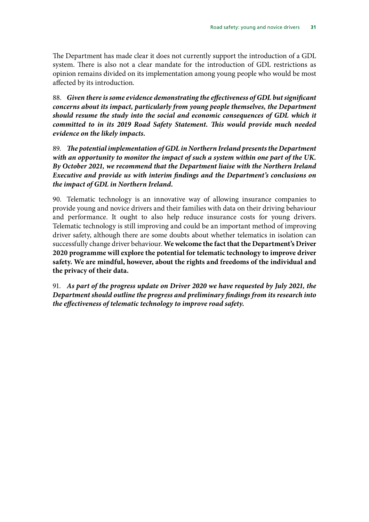The Department has made clear it does not currently support the introduction of a GDL system. There is also not a clear mandate for the introduction of GDL restrictions as opinion remains divided on its implementation among young people who would be most affected by its introduction.

88. *Given there is some evidence demonstrating the effectiveness of GDL but significant concerns about its impact, particularly from young people themselves, the Department should resume the study into the social and economic consequences of GDL which it committed to in its 2019 Road Safety Statement. This would provide much needed evidence on the likely impacts.*

89. *The potential implementation of GDL in Northern Ireland presents the Department with an opportunity to monitor the impact of such a system within one part of the UK. By October 2021, we recommend that the Department liaise with the Northern Ireland Executive and provide us with interim findings and the Department's conclusions on the impact of GDL in Northern Ireland.*

90. Telematic technology is an innovative way of allowing insurance companies to provide young and novice drivers and their families with data on their driving behaviour and performance. It ought to also help reduce insurance costs for young drivers. Telematic technology is still improving and could be an important method of improving driver safety, although there are some doubts about whether telematics in isolation can successfully change driver behaviour. **We welcome the fact that the Department's Driver 2020 programme will explore the potential for telematic technology to improve driver safety. We are mindful, however, about the rights and freedoms of the individual and the privacy of their data.**

91. *As part of the progress update on Driver 2020 we have requested by July 2021, the Department should outline the progress and preliminary findings from its research into the effectiveness of telematic technology to improve road safety.*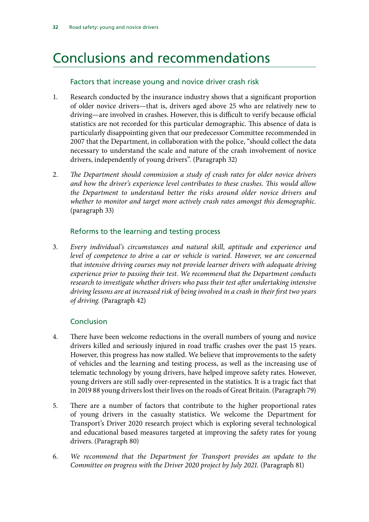## <span id="page-33-0"></span>Conclusions and recommendations

#### Factors that increase young and novice driver crash risk

- 1. Research conducted by the insurance industry shows that a significant proportion of older novice drivers—that is, drivers aged above 25 who are relatively new to driving—are involved in crashes. However, this is difficult to verify because official statistics are not recorded for this particular demographic. This absence of data is particularly disappointing given that our predecessor Committee recommended in 2007 that the Department, in collaboration with the police, "should collect the data necessary to understand the scale and nature of the crash involvement of novice drivers, independently of young drivers". (Paragraph 32)
- 2. *The Department should commission a study of crash rates for older novice drivers and how the driver's experience level contributes to these crashes. This would allow the Department to understand better the risks around older novice drivers and whether to monitor and target more actively crash rates amongst this demographic.*  (paragraph 33)

#### Reforms to the learning and testing process

3. *Every individual's circumstances and natural skill, aptitude and experience and level of competence to drive a car or vehicle is varied. However, we are concerned that intensive driving courses may not provide learner drivers with adequate driving experience prior to passing their test. We recommend that the Department conducts research to investigate whether drivers who pass their test after undertaking intensive driving lessons are at increased risk of being involved in a crash in their first two years of driving.* (Paragraph 42)

### Conclusion

- 4. There have been welcome reductions in the overall numbers of young and novice drivers killed and seriously injured in road traffic crashes over the past 15 years. However, this progress has now stalled. We believe that improvements to the safety of vehicles and the learning and testing process, as well as the increasing use of telematic technology by young drivers, have helped improve safety rates. However, young drivers are still sadly over-represented in the statistics. It is a tragic fact that in 2019 88 young drivers lost their lives on the roads of Great Britain. (Paragraph 79)
- 5. There are a number of factors that contribute to the higher proportional rates of young drivers in the casualty statistics. We welcome the Department for Transport's Driver 2020 research project which is exploring several technological and educational based measures targeted at improving the safety rates for young drivers. (Paragraph 80)
- 6. *We recommend that the Department for Transport provides an update to the Committee on progress with the Driver 2020 project by July 2021.* (Paragraph 81)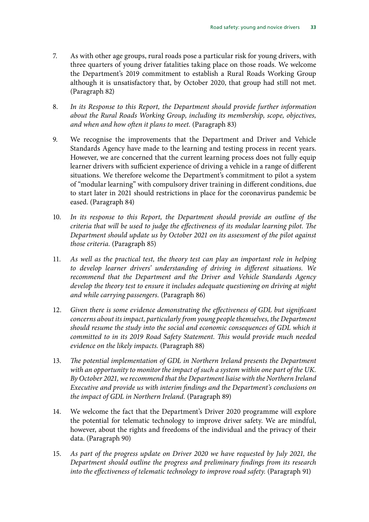- 7. As with other age groups, rural roads pose a particular risk for young drivers, with three quarters of young driver fatalities taking place on those roads. We welcome the Department's 2019 commitment to establish a Rural Roads Working Group although it is unsatisfactory that, by October 2020, that group had still not met. (Paragraph 82)
- 8. *In its Response to this Report, the Department should provide further information about the Rural Roads Working Group, including its membership, scope, objectives, and when and how often it plans to meet.* (Paragraph 83)
- 9. We recognise the improvements that the Department and Driver and Vehicle Standards Agency have made to the learning and testing process in recent years. However, we are concerned that the current learning process does not fully equip learner drivers with sufficient experience of driving a vehicle in a range of different situations. We therefore welcome the Department's commitment to pilot a system of "modular learning" with compulsory driver training in different conditions, due to start later in 2021 should restrictions in place for the coronavirus pandemic be eased. (Paragraph 84)
- 10. *In its response to this Report, the Department should provide an outline of the criteria that will be used to judge the effectiveness of its modular learning pilot. The Department should update us by October 2021 on its assessment of the pilot against those criteria.* (Paragraph 85)
- 11. *As well as the practical test, the theory test can play an important role in helping to develop learner drivers' understanding of driving in different situations. We recommend that the Department and the Driver and Vehicle Standards Agency develop the theory test to ensure it includes adequate questioning on driving at night and while carrying passengers.* (Paragraph 86)
- 12. *Given there is some evidence demonstrating the effectiveness of GDL but significant concerns about its impact, particularly from young people themselves, the Department should resume the study into the social and economic consequences of GDL which it committed to in its 2019 Road Safety Statement. This would provide much needed evidence on the likely impacts.* (Paragraph 88)
- 13. *The potential implementation of GDL in Northern Ireland presents the Department with an opportunity to monitor the impact of such a system within one part of the UK. By October 2021, we recommend that the Department liaise with the Northern Ireland Executive and provide us with interim findings and the Department's conclusions on the impact of GDL in Northern Ireland.* (Paragraph 89)
- 14. We welcome the fact that the Department's Driver 2020 programme will explore the potential for telematic technology to improve driver safety. We are mindful, however, about the rights and freedoms of the individual and the privacy of their data. (Paragraph 90)
- 15. *As part of the progress update on Driver 2020 we have requested by July 2021, the Department should outline the progress and preliminary findings from its research into the effectiveness of telematic technology to improve road safety.* (Paragraph 91)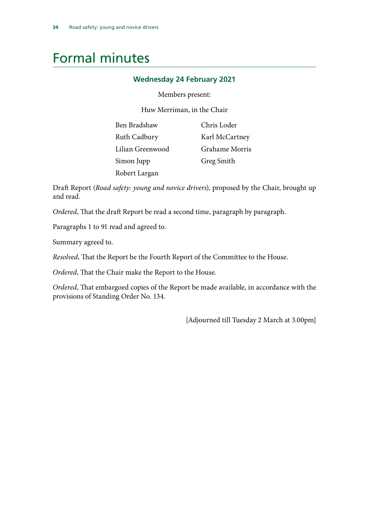## <span id="page-35-0"></span>Formal minutes

#### **Wednesday 24 February 2021**

#### Members present:

Huw Merriman, in the Chair

| Ben Bradshaw     | Chris Loder    |
|------------------|----------------|
| Ruth Cadbury     | Karl McCartney |
| Lilian Greenwood | Grahame Morris |
| Simon Jupp       | Greg Smith     |
| Robert Largan    |                |

Draft Report (*Road safety: young and novice drivers*), proposed by the Chair, brought up and read.

*Ordered*, That the draft Report be read a second time, paragraph by paragraph.

Paragraphs 1 to 91 read and agreed to.

Summary agreed to.

*Resolved*, That the Report be the Fourth Report of the Committee to the House.

*Ordered*, That the Chair make the Report to the House.

*Ordered*, That embargoed copies of the Report be made available, in accordance with the provisions of Standing Order No. 134.

[Adjourned till Tuesday 2 March at 3.00pm]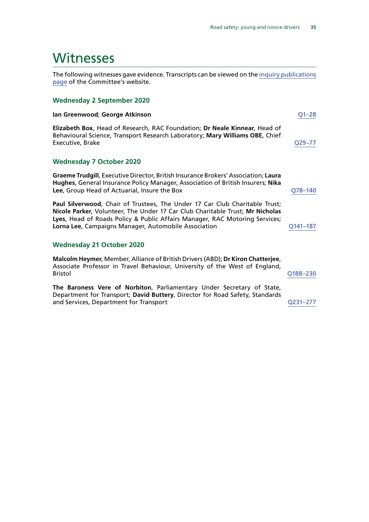## <span id="page-36-0"></span>Witnesses

The following witnesses gave evidence. Transcripts can be viewed on the [inquiry publications](https://committees.parliament.uk/work/146/default/publications/oral-evidence/) [page](https://committees.parliament.uk/work/146/default/publications/oral-evidence/) of the Committee's website.

#### **Wednesday 2 September 2020**

#### **Ian Greenwood**; **George Atkinson** [Q1–28](https://committees.parliament.uk/oralevidence/801/default/)

**Elizabeth Box**, Head of Research, RAC Foundation; **Dr Neale Kinnear**, Head of Behavioural Science, Transport Research Laboratory; **Mary Williams OBE**, Chief Executive, Brake [Q29–77](https://committees.parliament.uk/oralevidence/801/default/)

#### **Wednesday 7 October 2020**

**Graeme Trudgill**, Executive Director, British Insurance Brokers' Association; **Laura Hughes**, General Insurance Policy Manager, Association of British Insurers; **Nika Lee**, Group Head of Actuarial, Insure the Box **[Q78–140](https://committees.parliament.uk/oralevidence/1003/default/)** 

**Paul Silverwood**, Chair of Trustees, The Under 17 Car Club Charitable Trust; **Nicole Parker**, Volunteer, The Under 17 Car Club Charitable Trust; **Mr Nicholas Lyes**, Head of Roads Policy & Public Affairs Manager, RAC Motoring Services; **Lorna Lee**, Campaigns Manager, Automobile Association **Canadiates** Q141-187

#### **Wednesday 21 October 2020**

**Malcolm Heymer**, Member, Alliance of British Drivers (ABD); **Dr Kiron Chatterjee**, Associate Professor in Travel Behaviour, University of the West of England, Bristol [Q188–230](https://committees.parliament.uk/oralevidence/1090/default/)

**The Baroness Vere of Norbiton**, Parliamentary Under Secretary of State, Department for Transport; **David Buttery**, Director for Road Safety, Standards and Services, Department for Transport [Q231–277](https://committees.parliament.uk/oralevidence/1090/default/)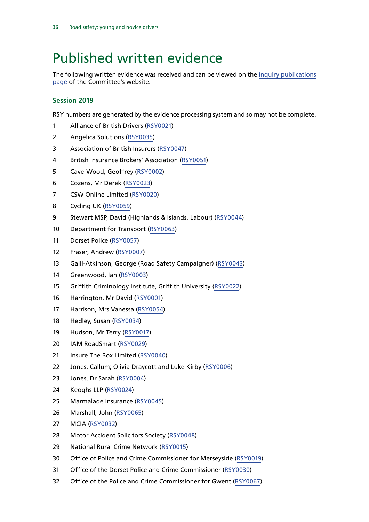## <span id="page-37-0"></span>Published written evidence

The following written evidence was received and can be viewed on the [inquiry publications](https://committees.parliament.uk/work/146/default/publications/written-evidence/) [page](https://committees.parliament.uk/work/146/default/publications/written-evidence/) of the Committee's website.

#### **Session 2019**

RSY numbers are generated by the evidence processing system and so may not be complete.

- Alliance of British Drivers ([RSY0021\)](http://data.parliament.uk/writtenevidence/committeeevidence.svc/evidencedocument/transport-committee/road-safety-young-and-novice-drivers/written/104645.html)
- Angelica Solutions [\(RSY0035\)](http://data.parliament.uk/writtenevidence/committeeevidence.svc/evidencedocument/transport-committee/road-safety-young-and-novice-drivers/written/104779.html)
- Association of British Insurers [\(RSY0047\)](http://data.parliament.uk/writtenevidence/committeeevidence.svc/evidencedocument/transport-committee/road-safety-young-and-novice-drivers/written/104865.html)
- British Insurance Brokers' Association [\(RSY0051\)](http://data.parliament.uk/writtenevidence/committeeevidence.svc/evidencedocument/transport-committee/road-safety-young-and-novice-drivers/written/104880.html)
- Cave-Wood, Geoffrey [\(RSY0002\)](http://data.parliament.uk/writtenevidence/committeeevidence.svc/evidencedocument/transport-committee/road-safety-young-and-novice-drivers/written/104133.html)
- Cozens, Mr Derek [\(RSY0023\)](http://data.parliament.uk/writtenevidence/committeeevidence.svc/evidencedocument/transport-committee/road-safety-young-and-novice-drivers/written/104678.html)
- CSW Online Limited ([RSY0020](http://data.parliament.uk/writtenevidence/committeeevidence.svc/evidencedocument/transport-committee/road-safety-young-and-novice-drivers/written/104629.html))
- Cycling UK [\(RSY0059\)](http://data.parliament.uk/writtenevidence/committeeevidence.svc/evidencedocument/transport-committee/road-safety-young-and-novice-drivers/written/104940.html)
- Stewart MSP, David (Highlands & Islands, Labour) [\(RSY0044](http://data.parliament.uk/writtenevidence/committeeevidence.svc/evidencedocument/transport-committee/road-safety-young-and-novice-drivers/written/104855.html))
- Department for Transport [\(RSY0063](http://data.parliament.uk/writtenevidence/committeeevidence.svc/evidencedocument/transport-committee/road-safety-young-and-novice-drivers/written/105205.html))
- Dorset Police [\(RSY0057](http://data.parliament.uk/writtenevidence/committeeevidence.svc/evidencedocument/transport-committee/road-safety-young-and-novice-drivers/written/104920.html))
- Fraser, Andrew ([RSY0007\)](http://data.parliament.uk/writtenevidence/committeeevidence.svc/evidencedocument/transport-committee/road-safety-young-and-novice-drivers/written/104351.html)
- Galli-Atkinson, George (Road Safety Campaigner) [\(RSY0043\)](http://data.parliament.uk/writtenevidence/committeeevidence.svc/evidencedocument/transport-committee/road-safety-young-and-novice-drivers/written/104850.html)
- Greenwood, Ian [\(RSY0003\)](http://data.parliament.uk/writtenevidence/committeeevidence.svc/evidencedocument/transport-committee/road-safety-young-and-novice-drivers/written/104210.html)
- Griffith Criminology Institute, Griffith University [\(RSY0022](http://data.parliament.uk/writtenevidence/committeeevidence.svc/evidencedocument/transport-committee/road-safety-young-and-novice-drivers/written/104665.html))
- Harrington, Mr David ([RSY0001\)](http://data.parliament.uk/writtenevidence/committeeevidence.svc/evidencedocument/transport-committee/road-safety-young-and-novice-drivers/written/104082.html)
- Harrison, Mrs Vanessa [\(RSY0054](http://data.parliament.uk/writtenevidence/committeeevidence.svc/evidencedocument/transport-committee/road-safety-young-and-novice-drivers/written/104889.html))
- Hedley, Susan [\(RSY0034\)](http://data.parliament.uk/writtenevidence/committeeevidence.svc/evidencedocument/transport-committee/road-safety-young-and-novice-drivers/written/104775.html)
- Hudson, Mr Terry [\(RSY0017\)](http://data.parliament.uk/writtenevidence/committeeevidence.svc/evidencedocument/transport-committee/road-safety-young-and-novice-drivers/written/104540.html)
- IAM RoadSmart ([RSY0029](http://data.parliament.uk/writtenevidence/committeeevidence.svc/evidencedocument/transport-committee/road-safety-young-and-novice-drivers/written/104757.html))
- Insure The Box Limited [\(RSY0040](http://data.parliament.uk/writtenevidence/committeeevidence.svc/evidencedocument/transport-committee/road-safety-young-and-novice-drivers/written/104829.html))
- Jones, Callum; Olivia Draycott and Luke Kirby [\(RSY0006](http://data.parliament.uk/writtenevidence/committeeevidence.svc/evidencedocument/transport-committee/road-safety-young-and-novice-drivers/written/104319.html))
- Jones, Dr Sarah [\(RSY0004](http://data.parliament.uk/writtenevidence/committeeevidence.svc/evidencedocument/transport-committee/road-safety-young-and-novice-drivers/written/104295.html))
- Keoghs LLP ([RSY0024\)](http://data.parliament.uk/writtenevidence/committeeevidence.svc/evidencedocument/transport-committee/road-safety-young-and-novice-drivers/written/104681.html)
- Marmalade Insurance [\(RSY0045](http://data.parliament.uk/writtenevidence/committeeevidence.svc/evidencedocument/transport-committee/road-safety-young-and-novice-drivers/written/104856.html))
- Marshall, John ([RSY0065](http://data.parliament.uk/writtenevidence/committeeevidence.svc/evidencedocument/transport-committee/road-safety-young-and-novice-drivers/written/105262.html))
- MCIA [\(RSY0032\)](http://data.parliament.uk/writtenevidence/committeeevidence.svc/evidencedocument/transport-committee/road-safety-young-and-novice-drivers/written/104767.html)
- Motor Accident Solicitors Society [\(RSY0048](http://data.parliament.uk/writtenevidence/committeeevidence.svc/evidencedocument/transport-committee/road-safety-young-and-novice-drivers/written/104867.html))
- National Rural Crime Network ([RSY0015](http://data.parliament.uk/writtenevidence/committeeevidence.svc/evidencedocument/transport-committee/road-safety-young-and-novice-drivers/written/104525.html))
- Office of Police and Crime Commissioner for Merseyside [\(RSY0019\)](http://data.parliament.uk/writtenevidence/committeeevidence.svc/evidencedocument/transport-committee/road-safety-young-and-novice-drivers/written/104545.html)
- Office of the Dorset Police and Crime Commissioner [\(RSY0030\)](http://data.parliament.uk/writtenevidence/committeeevidence.svc/evidencedocument/transport-committee/road-safety-young-and-novice-drivers/written/104759.html)
- Office of the Police and Crime Commissioner for Gwent [\(RSY0067](http://data.parliament.uk/writtenevidence/committeeevidence.svc/evidencedocument/transport-committee/road-safety-young-and-novice-drivers/written/106411.html))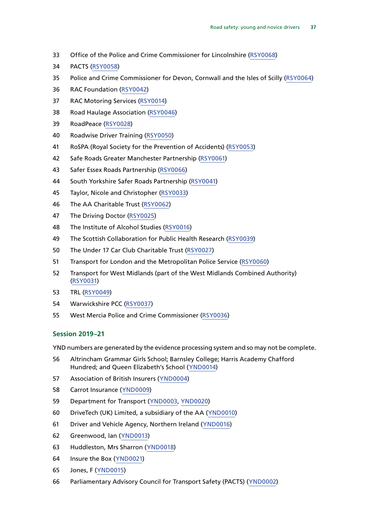- Office of the Police and Crime Commissioner for Lincolnshire ([RSY0068\)](http://data.parliament.uk/writtenevidence/committeeevidence.svc/evidencedocument/transport-committee/road-safety-young-and-novice-drivers/written/106437.html)
- PACTS ([RSY0058\)](http://data.parliament.uk/writtenevidence/committeeevidence.svc/evidencedocument/transport-committee/road-safety-young-and-novice-drivers/written/104935.html)
- Police and Crime Commissioner for Devon, Cornwall and the Isles of Scilly ([RSY0064\)](http://data.parliament.uk/writtenevidence/committeeevidence.svc/evidencedocument/transport-committee/road-safety-young-and-novice-drivers/written/105211.html)
- RAC Foundation ([RSY0042\)](http://data.parliament.uk/writtenevidence/committeeevidence.svc/evidencedocument/transport-committee/road-safety-young-and-novice-drivers/written/104831.html)
- RAC Motoring Services [\(RSY0014\)](http://data.parliament.uk/writtenevidence/committeeevidence.svc/evidencedocument/transport-committee/road-safety-young-and-novice-drivers/written/104444.html)
- Road Haulage Association [\(RSY0046](http://data.parliament.uk/writtenevidence/committeeevidence.svc/evidencedocument/transport-committee/road-safety-young-and-novice-drivers/written/104864.html))
- RoadPeace [\(RSY0028\)](http://data.parliament.uk/writtenevidence/committeeevidence.svc/evidencedocument/transport-committee/road-safety-young-and-novice-drivers/written/104756.html)
- Roadwise Driver Training [\(RSY0050](http://data.parliament.uk/writtenevidence/committeeevidence.svc/evidencedocument/transport-committee/road-safety-young-and-novice-drivers/written/104870.html))
- RoSPA (Royal Society for the Prevention of Accidents) [\(RSY0053\)](http://data.parliament.uk/writtenevidence/committeeevidence.svc/evidencedocument/transport-committee/road-safety-young-and-novice-drivers/written/104883.html)
- Safe Roads Greater Manchester Partnership [\(RSY0061](http://data.parliament.uk/writtenevidence/committeeevidence.svc/evidencedocument/transport-committee/road-safety-young-and-novice-drivers/written/105026.html))
- Safer Essex Roads Partnership [\(RSY0066\)](http://data.parliament.uk/writtenevidence/committeeevidence.svc/evidencedocument/transport-committee/road-safety-young-and-novice-drivers/written/105707.html)
- South Yorkshire Safer Roads Partnership [\(RSY0041\)](http://data.parliament.uk/writtenevidence/committeeevidence.svc/evidencedocument/transport-committee/road-safety-young-and-novice-drivers/written/104830.html)
- Taylor, Nicole and Christopher ([RSY0033](http://data.parliament.uk/writtenevidence/committeeevidence.svc/evidencedocument/transport-committee/road-safety-young-and-novice-drivers/written/104769.html))
- The AA Charitable Trust ([RSY0062\)](http://data.parliament.uk/writtenevidence/committeeevidence.svc/evidencedocument/transport-committee/road-safety-young-and-novice-drivers/written/105055.html)
- The Driving Doctor ([RSY0025\)](http://data.parliament.uk/writtenevidence/committeeevidence.svc/evidencedocument/transport-committee/road-safety-young-and-novice-drivers/written/104705.html)
- The Institute of Alcohol Studies [\(RSY0016](http://data.parliament.uk/writtenevidence/committeeevidence.svc/evidencedocument/transport-committee/road-safety-young-and-novice-drivers/written/104530.html))
- The Scottish Collaboration for Public Health Research [\(RSY0039\)](http://data.parliament.uk/writtenevidence/committeeevidence.svc/evidencedocument/transport-committee/road-safety-young-and-novice-drivers/written/104828.html)
- The Under 17 Car Club Charitable Trust ([RSY0027](http://data.parliament.uk/writtenevidence/committeeevidence.svc/evidencedocument/transport-committee/road-safety-young-and-novice-drivers/written/104751.html))
- Transport for London and the Metropolitan Police Service ([RSY0060\)](http://data.parliament.uk/writtenevidence/committeeevidence.svc/evidencedocument/transport-committee/road-safety-young-and-novice-drivers/written/105008.html)
- Transport for West Midlands (part of the West Midlands Combined Authority) ([RSY0031](http://data.parliament.uk/writtenevidence/committeeevidence.svc/evidencedocument/transport-committee/road-safety-young-and-novice-drivers/written/104763.html))
- TRL [\(RSY0049](http://data.parliament.uk/writtenevidence/committeeevidence.svc/evidencedocument/transport-committee/road-safety-young-and-novice-drivers/written/104869.html))
- Warwickshire PCC [\(RSY0037\)](http://data.parliament.uk/writtenevidence/committeeevidence.svc/evidencedocument/transport-committee/road-safety-young-and-novice-drivers/written/104801.html)
- West Mercia Police and Crime Commissioner [\(RSY0036](http://data.parliament.uk/writtenevidence/committeeevidence.svc/evidencedocument/transport-committee/road-safety-young-and-novice-drivers/written/104796.html))

#### **Session 2019–21**

YND numbers are generated by the evidence processing system and so may not be complete.

- Altrincham Grammar Girls School; Barnsley College; Harris Academy Chafford Hundred; and Queen Elizabeth's School ([YND0014](https://committees.parliament.uk/writtenevidence/12499/html/))
- Association of British Insurers ([YND0004](https://committees.parliament.uk/writtenevidence/1332/html/))
- Carrot Insurance ([YND0009](https://committees.parliament.uk/writtenevidence/8201/html/))
- Department for Transport ([YND0003](https://committees.parliament.uk/writtenevidence/1327/html/), [YND0020\)](https://committees.parliament.uk/writtenevidence/17529/html/)
- DriveTech (UK) Limited, a subsidiary of the AA ([YND0010](https://committees.parliament.uk/writtenevidence/8218/html/))
- Driver and Vehicle Agency, Northern Ireland [\(YND0016\)](https://committees.parliament.uk/writtenevidence/13789/html/)
- Greenwood, Ian [\(YND0013](https://committees.parliament.uk/writtenevidence/12160/html/))
- Huddleston, Mrs Sharron ([YND0018](https://committees.parliament.uk/writtenevidence/14951/html/))
- Insure the Box ([YND0021\)](https://committees.parliament.uk/writtenevidence/17538/html/)
- Jones, F [\(YND0015\)](https://committees.parliament.uk/writtenevidence/12839/html/)
- Parliamentary Advisory Council for Transport Safety (PACTS) [\(YND0002\)](https://committees.parliament.uk/writtenevidence/839/html/)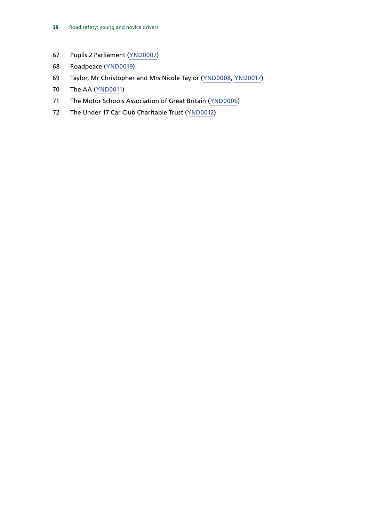- Pupils 2 Parliament ([YND0007](https://committees.parliament.uk/writtenevidence/5515/html/))
- Roadpeace ([YND0019](https://committees.parliament.uk/writtenevidence/16517/html/))
- Taylor, Mr Christopher and Mrs Nicole Taylor ([YND0008,](https://committees.parliament.uk/writtenevidence/7648/html/) [YND0017\)](https://committees.parliament.uk/writtenevidence/14830/html/)
- The AA ([YND0011](https://committees.parliament.uk/writtenevidence/8225/html/))
- The Motor Schools Association of Great Britain ([YND0006\)](https://committees.parliament.uk/writtenevidence/1508/html/)
- The Under 17 Car Club Charitable Trust ([YND0012](https://committees.parliament.uk/writtenevidence/10203/html/))